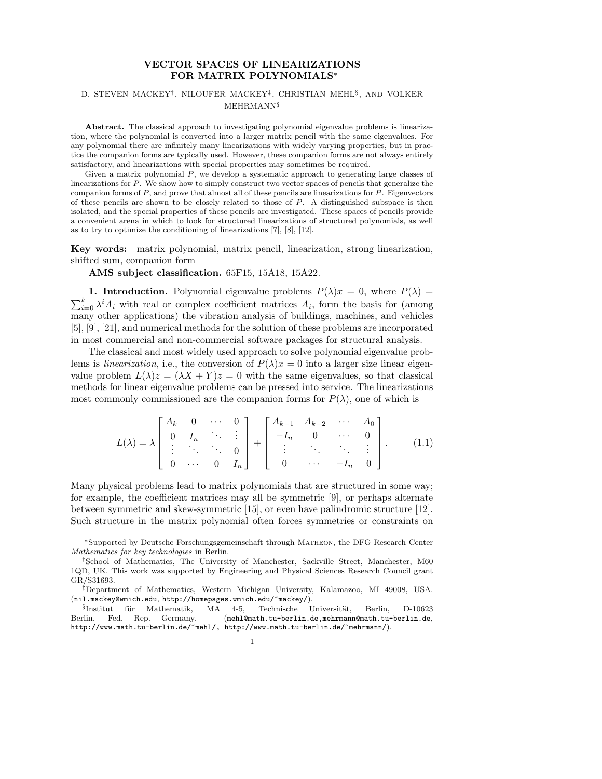# VECTOR SPACES OF LINEARIZATIONS FOR MATRIX POLYNOMIALS<sup>∗</sup>

### D. STEVEN MACKEY<sup>†</sup>, NILOUFER MACKEY<sup>‡</sup>, CHRISTIAN MEHL<sup>§</sup>, AND VOLKER MEHRMANN§

Abstract. The classical approach to investigating polynomial eigenvalue problems is linearization, where the polynomial is converted into a larger matrix pencil with the same eigenvalues. For any polynomial there are infinitely many linearizations with widely varying properties, but in practice the companion forms are typically used. However, these companion forms are not always entirely satisfactory, and linearizations with special properties may sometimes be required.

Given a matrix polynomial P, we develop a systematic approach to generating large classes of linearizations for P. We show how to simply construct two vector spaces of pencils that generalize the companion forms of  $P$ , and prove that almost all of these pencils are linearizations for  $P$ . Eigenvectors of these pencils are shown to be closely related to those of P. A distinguished subspace is then isolated, and the special properties of these pencils are investigated. These spaces of pencils provide a convenient arena in which to look for structured linearizations of structured polynomials, as well as to try to optimize the conditioning of linearizations [7], [8], [12].

Key words: matrix polynomial, matrix pencil, linearization, strong linearization, shifted sum, companion form

AMS subject classification. 65F15, 15A18, 15A22.

**1. Introduction.** Polynomial eigenvalue problems  $P(\lambda)x = 0$ , where  $P(\lambda) =$  $\sum_{i=0}^{k} \lambda^{i} A_{i}$  with real or complex coefficient matrices  $A_{i}$ , form the basis for (among many other applications) the vibration analysis of buildings, machines, and vehicles [5], [9], [21], and numerical methods for the solution of these problems are incorporated in most commercial and non-commercial software packages for structural analysis.

The classical and most widely used approach to solve polynomial eigenvalue problems is *linearization*, i.e., the conversion of  $P(\lambda)x = 0$  into a larger size linear eigenvalue problem  $L(\lambda)z = (\lambda X + Y)z = 0$  with the same eigenvalues, so that classical methods for linear eigenvalue problems can be pressed into service. The linearizations most commonly commissioned are the companion forms for  $P(\lambda)$ , one of which is

$$
L(\lambda) = \lambda \begin{bmatrix} A_k & 0 & \cdots & 0 \\ 0 & I_n & \ddots & \vdots \\ \vdots & \ddots & \ddots & 0 \\ 0 & \cdots & 0 & I_n \end{bmatrix} + \begin{bmatrix} A_{k-1} & A_{k-2} & \cdots & A_0 \\ -I_n & 0 & \cdots & 0 \\ \vdots & \ddots & \ddots & \vdots \\ 0 & \cdots & -I_n & 0 \end{bmatrix} .
$$
 (1.1)

Many physical problems lead to matrix polynomials that are structured in some way; for example, the coefficient matrices may all be symmetric [9], or perhaps alternate between symmetric and skew-symmetric [15], or even have palindromic structure [12]. Such structure in the matrix polynomial often forces symmetries or constraints on

<sup>∗</sup>Supported by Deutsche Forschungsgemeinschaft through Matheon, the DFG Research Center Mathematics for key technologies in Berlin.

<sup>†</sup>School of Mathematics, The University of Manchester, Sackville Street, Manchester, M60 1QD, UK. This work was supported by Engineering and Physical Sciences Research Council grant GR/S31693.

<sup>‡</sup>Department of Mathematics, Western Michigan University, Kalamazoo, MI 49008, USA. (nil.mackey@wmich.edu, http://homepages.wmich.edu/~mackey/).

<sup>§</sup>Institut für Mathematik, MA 4-5, Technische Universität, Berlin, D-10623 Berlin, Fed. Rep. Germany. (mehl@math.tu-berlin.de,mehrmann@math.tu-berlin.de, http://www.math.tu-berlin.de/~mehl/, http://www.math.tu-berlin.de/~mehrmann/).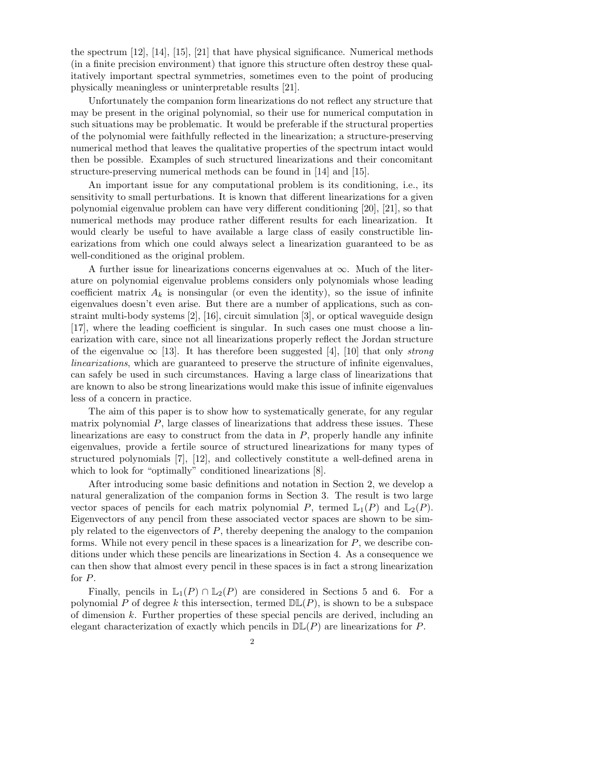the spectrum [12], [14], [15], [21] that have physical significance. Numerical methods (in a finite precision environment) that ignore this structure often destroy these qualitatively important spectral symmetries, sometimes even to the point of producing physically meaningless or uninterpretable results [21].

Unfortunately the companion form linearizations do not reflect any structure that may be present in the original polynomial, so their use for numerical computation in such situations may be problematic. It would be preferable if the structural properties of the polynomial were faithfully reflected in the linearization; a structure-preserving numerical method that leaves the qualitative properties of the spectrum intact would then be possible. Examples of such structured linearizations and their concomitant structure-preserving numerical methods can be found in [14] and [15].

An important issue for any computational problem is its conditioning, i.e., its sensitivity to small perturbations. It is known that different linearizations for a given polynomial eigenvalue problem can have very different conditioning [20], [21], so that numerical methods may produce rather different results for each linearization. It would clearly be useful to have available a large class of easily constructible linearizations from which one could always select a linearization guaranteed to be as well-conditioned as the original problem.

A further issue for linearizations concerns eigenvalues at  $\infty$ . Much of the literature on polynomial eigenvalue problems considers only polynomials whose leading coefficient matrix  $A_k$  is nonsingular (or even the identity), so the issue of infinite eigenvalues doesn't even arise. But there are a number of applications, such as constraint multi-body systems [2], [16], circuit simulation [3], or optical waveguide design [17], where the leading coefficient is singular. In such cases one must choose a linearization with care, since not all linearizations properly reflect the Jordan structure of the eigenvalue  $\infty$  [13]. It has therefore been suggested [4], [10] that only *strong* linearizations, which are guaranteed to preserve the structure of infinite eigenvalues, can safely be used in such circumstances. Having a large class of linearizations that are known to also be strong linearizations would make this issue of infinite eigenvalues less of a concern in practice.

The aim of this paper is to show how to systematically generate, for any regular matrix polynomial P, large classes of linearizations that address these issues. These linearizations are easy to construct from the data in  $P$ , properly handle any infinite eigenvalues, provide a fertile source of structured linearizations for many types of structured polynomials [7], [12], and collectively constitute a well-defined arena in which to look for "optimally" conditioned linearizations  $[8]$ .

After introducing some basic definitions and notation in Section 2, we develop a natural generalization of the companion forms in Section 3. The result is two large vector spaces of pencils for each matrix polynomial P, termed  $\mathbb{L}_1(P)$  and  $\mathbb{L}_2(P)$ . Eigenvectors of any pencil from these associated vector spaces are shown to be simply related to the eigenvectors of P, thereby deepening the analogy to the companion forms. While not every pencil in these spaces is a linearization for  $P$ , we describe conditions under which these pencils are linearizations in Section 4. As a consequence we can then show that almost every pencil in these spaces is in fact a strong linearization for P.

Finally, pencils in  $\mathbb{L}_1(P) \cap \mathbb{L}_2(P)$  are considered in Sections 5 and 6. For a polynomial P of degree k this intersection, termed  $D\mathbb{L}(P)$ , is shown to be a subspace of dimension  $k$ . Further properties of these special pencils are derived, including an elegant characterization of exactly which pencils in  $D\mathbb{L}(P)$  are linearizations for P.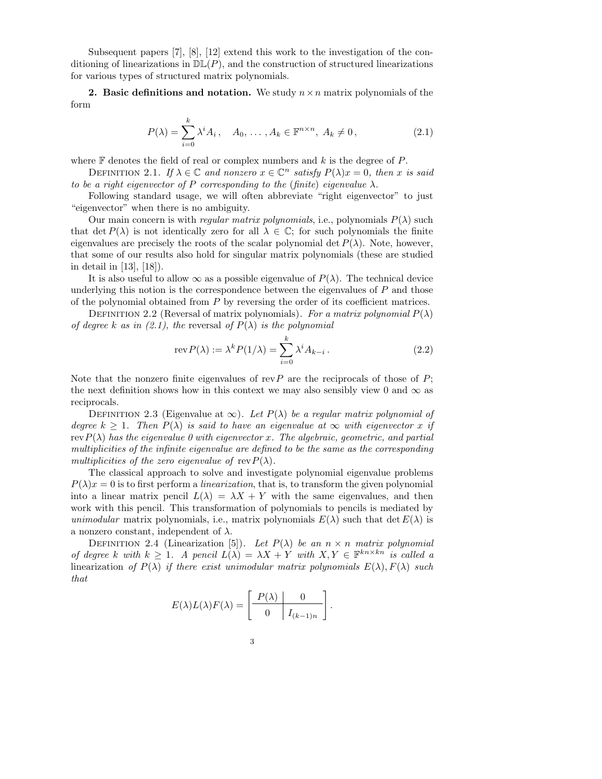Subsequent papers [7], [8], [12] extend this work to the investigation of the conditioning of linearizations in  $D\mathbb{L}(P)$ , and the construction of structured linearizations for various types of structured matrix polynomials.

2. Basic definitions and notation. We study  $n \times n$  matrix polynomials of the form

$$
P(\lambda) = \sum_{i=0}^{k} \lambda^{i} A_{i}, \quad A_{0}, \dots, A_{k} \in \mathbb{F}^{n \times n}, A_{k} \neq 0,
$$
\n
$$
(2.1)
$$

where  $\mathbb F$  denotes the field of real or complex numbers and k is the degree of P.

DEFINITION 2.1. If  $\lambda \in \mathbb{C}$  and nonzero  $x \in \mathbb{C}^n$  satisfy  $P(\lambda)x = 0$ , then x is said to be a right eigenvector of P corresponding to the (finite) eigenvalue  $\lambda$ .

Following standard usage, we will often abbreviate "right eigenvector" to just "eigenvector" when there is no ambiguity.

Our main concern is with *regular matrix polynomials*, i.e., polynomials  $P(\lambda)$  such that det  $P(\lambda)$  is not identically zero for all  $\lambda \in \mathbb{C}$ ; for such polynomials the finite eigenvalues are precisely the roots of the scalar polynomial det  $P(\lambda)$ . Note, however, that some of our results also hold for singular matrix polynomials (these are studied in detail in [13], [18]).

It is also useful to allow  $\infty$  as a possible eigenvalue of  $P(\lambda)$ . The technical device underlying this notion is the correspondence between the eigenvalues of  $P$  and those of the polynomial obtained from P by reversing the order of its coefficient matrices.

DEFINITION 2.2 (Reversal of matrix polynomials). For a matrix polynomial  $P(\lambda)$ of degree k as in (2.1), the reversal of  $P(\lambda)$  is the polynomial

$$
rev P(\lambda) := \lambda^k P(1/\lambda) = \sum_{i=0}^k \lambda^i A_{k-i}.
$$
 (2.2)

.

Note that the nonzero finite eigenvalues of rev $P$  are the reciprocals of those of  $P$ ; the next definition shows how in this context we may also sensibly view 0 and  $\infty$  as reciprocals.

DEFINITION 2.3 (Eigenvalue at  $\infty$ ). Let  $P(\lambda)$  be a regular matrix polynomial of degree k > 1. Then  $P(\lambda)$  is said to have an eigenvalue at  $\infty$  with eigenvector x if rev $P(\lambda)$  has the eigenvalue 0 with eigenvector x. The algebraic, geometric, and partial multiplicities of the infinite eigenvalue are defined to be the same as the corresponding multiplicities of the zero eigenvalue of  $\text{rev } P(\lambda)$ .

The classical approach to solve and investigate polynomial eigenvalue problems  $P(\lambda)x = 0$  is to first perform a *linearization*, that is, to transform the given polynomial into a linear matrix pencil  $L(\lambda) = \lambda X + Y$  with the same eigenvalues, and then work with this pencil. This transformation of polynomials to pencils is mediated by unimodular matrix polynomials, i.e., matrix polynomials  $E(\lambda)$  such that det  $E(\lambda)$  is a nonzero constant, independent of  $\lambda$ .

DEFINITION 2.4 (Linearization [5]). Let  $P(\lambda)$  be an  $n \times n$  matrix polynomial of degree k with  $k \geq 1$ . A pencil  $L(\lambda) = \lambda X + Y$  with  $X, Y \in \mathbb{F}^{kn \times kn}$  is called a linearization of  $P(\lambda)$  if there exist unimodular matrix polynomials  $E(\lambda)$ ,  $F(\lambda)$  such that

$$
E(\lambda)L(\lambda)F(\lambda) = \left[\begin{array}{c|c} P(\lambda) & 0 \\ \hline 0 & I_{(k-1)n} \end{array}\right]
$$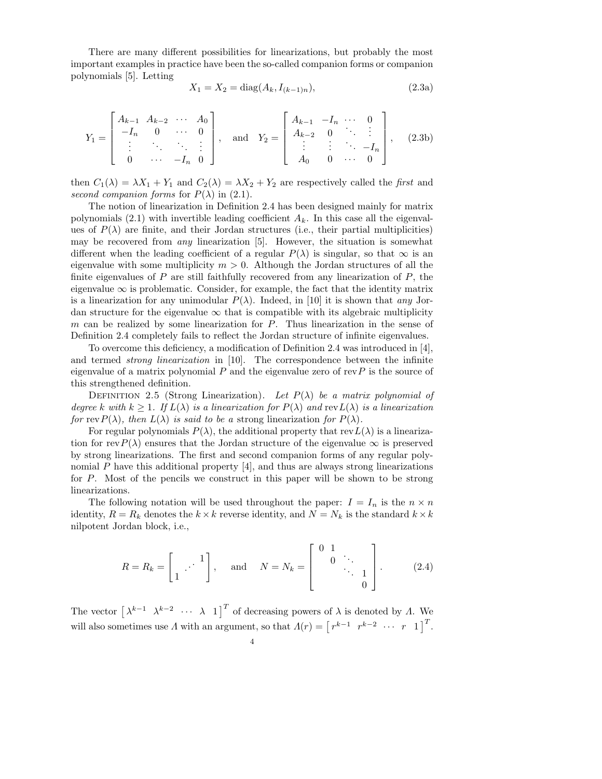There are many different possibilities for linearizations, but probably the most important examples in practice have been the so-called companion forms or companion polynomials [5]. Letting

$$
X_1 = X_2 = \text{diag}(A_k, I_{(k-1)n}),\tag{2.3a}
$$

$$
Y_1 = \begin{bmatrix} A_{k-1} & A_{k-2} & \cdots & A_0 \\ -I_n & 0 & \cdots & 0 \\ \vdots & \ddots & \ddots & \vdots \\ 0 & \cdots & -I_n & 0 \end{bmatrix}, \text{ and } Y_2 = \begin{bmatrix} A_{k-1} & -I_n & \cdots & 0 \\ A_{k-2} & 0 & \ddots & \vdots \\ \vdots & \vdots & \ddots & -I_n \\ A_0 & 0 & \cdots & 0 \end{bmatrix}, \quad (2.3b)
$$

then  $C_1(\lambda) = \lambda X_1 + Y_1$  and  $C_2(\lambda) = \lambda X_2 + Y_2$  are respectively called the first and second companion forms for  $P(\lambda)$  in (2.1).

The notion of linearization in Definition 2.4 has been designed mainly for matrix polynomials  $(2.1)$  with invertible leading coefficient  $A_k$ . In this case all the eigenvalues of  $P(\lambda)$  are finite, and their Jordan structures (i.e., their partial multiplicities) may be recovered from any linearization [5]. However, the situation is somewhat different when the leading coefficient of a regular  $P(\lambda)$  is singular, so that  $\infty$  is an eigenvalue with some multiplicity  $m > 0$ . Although the Jordan structures of all the finite eigenvalues of  $P$  are still faithfully recovered from any linearization of  $P$ , the eigenvalue  $\infty$  is problematic. Consider, for example, the fact that the identity matrix is a linearization for any unimodular  $P(\lambda)$ . Indeed, in [10] it is shown that any Jordan structure for the eigenvalue  $\infty$  that is compatible with its algebraic multiplicity  $m$  can be realized by some linearization for  $P$ . Thus linearization in the sense of Definition 2.4 completely fails to reflect the Jordan structure of infinite eigenvalues.

To overcome this deficiency, a modification of Definition 2.4 was introduced in [4], and termed strong linearization in [10]. The correspondence between the infinite eigenvalue of a matrix polynomial  $P$  and the eigenvalue zero of rev $P$  is the source of this strengthened definition.

DEFINITION 2.5 (Strong Linearization). Let  $P(\lambda)$  be a matrix polynomial of degree k with  $k \geq 1$ . If  $L(\lambda)$  is a linearization for  $P(\lambda)$  and rev $L(\lambda)$  is a linearization for rev $P(\lambda)$ , then  $L(\lambda)$  is said to be a strong linearization for  $P(\lambda)$ .

For regular polynomials  $P(\lambda)$ , the additional property that  $revL(\lambda)$  is a linearization for rev $P(\lambda)$  ensures that the Jordan structure of the eigenvalue  $\infty$  is preserved by strong linearizations. The first and second companion forms of any regular polynomial P have this additional property  $[4]$ , and thus are always strong linearizations for P. Most of the pencils we construct in this paper will be shown to be strong linearizations.

The following notation will be used throughout the paper:  $I = I_n$  is the  $n \times n$ identity,  $R = R_k$  denotes the  $k \times k$  reverse identity, and  $N = N_k$  is the standard  $k \times k$ nilpotent Jordan block, i.e.,

$$
R = R_k = \begin{bmatrix} 1 & \cdots & 1 \\ 1 & \cdots & 1 \end{bmatrix}, \quad \text{and} \quad N = N_k = \begin{bmatrix} 0 & 1 & & \\ & 0 & \ddots & \\ & & \ddots & 1 \\ & & & 0 \end{bmatrix}.
$$
 (2.4)

The vector  $\begin{bmatrix} \lambda^{k-1} & \lambda^{k-2} & \cdots & \lambda & 1 \end{bmatrix}^T$  of decreasing powers of  $\lambda$  is denoted by  $\Lambda$ . We will also sometimes use  $\Lambda$  with an argument, so that  $\Lambda(r) = \begin{bmatrix} r^{k-1} & r^{k-2} & \cdots & r & 1 \end{bmatrix}^T$ .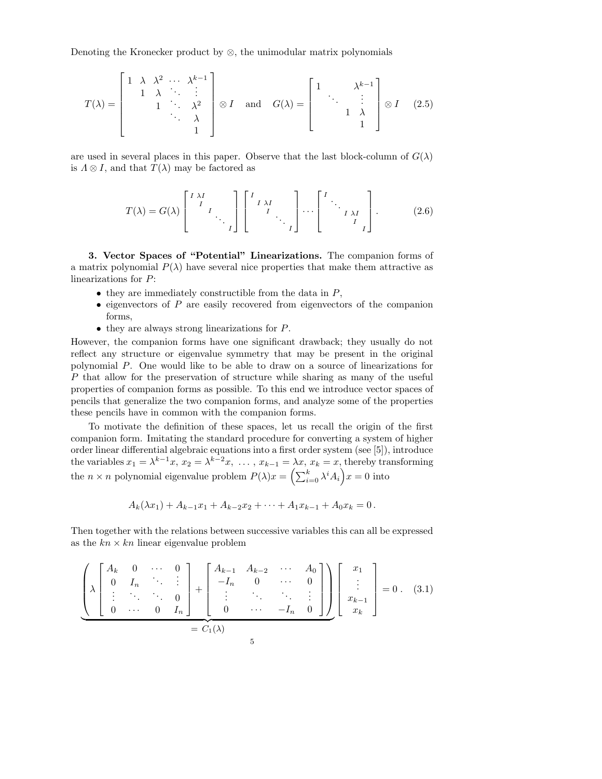Denoting the Kronecker product by  $\otimes$ , the unimodular matrix polynomials

$$
T(\lambda) = \begin{bmatrix} 1 & \lambda & \lambda^2 & \cdots & \lambda^{k-1} \\ 1 & \lambda & \ddots & \vdots \\ & & 1 & \ddots & \lambda^2 \\ & & & & \lambda \\ & & & & 1 \end{bmatrix} \otimes I \quad \text{and} \quad G(\lambda) = \begin{bmatrix} 1 & \lambda^{k-1} \\ \ddots & \vdots \\ & & 1 & \lambda \\ & & & 1 \end{bmatrix} \otimes I \quad (2.5)
$$

are used in several places in this paper. Observe that the last block-column of  $G(\lambda)$ is  $\Lambda \otimes I$ , and that  $T(\lambda)$  may be factored as

$$
T(\lambda) = G(\lambda) \begin{bmatrix} I & \lambda I & & \\ & I & & \\ & & & \ddots & \\ & & & & I \end{bmatrix} \begin{bmatrix} I & \lambda I & & \\ & I & \lambda I & \\ & & & \ddots & \\ & & & & I \end{bmatrix} \cdots \begin{bmatrix} I & & & \\ & \ddots & & \\ & & & I & \\ & & & & I \end{bmatrix} .
$$
 (2.6)

3. Vector Spaces of "Potential" Linearizations. The companion forms of a matrix polynomial  $P(\lambda)$  have several nice properties that make them attractive as linearizations for P:

- $\bullet$  they are immediately constructible from the data in  $P$ ,
- $\bullet$  eigenvectors of P are easily recovered from eigenvectors of the companion forms,
- they are always strong linearizations for P.

However, the companion forms have one significant drawback; they usually do not reflect any structure or eigenvalue symmetry that may be present in the original polynomial P. One would like to be able to draw on a source of linearizations for P that allow for the preservation of structure while sharing as many of the useful properties of companion forms as possible. To this end we introduce vector spaces of pencils that generalize the two companion forms, and analyze some of the properties these pencils have in common with the companion forms.

To motivate the definition of these spaces, let us recall the origin of the first companion form. Imitating the standard procedure for converting a system of higher order linear differential algebraic equations into a first order system (see [5]), introduce the variables  $x_1 = \lambda^{k-1}x$ ,  $x_2 = \lambda^{k-2}x$ , ...,  $x_{k-1} = \lambda x$ ,  $x_k = x$ , thereby transforming the  $n \times n$  polynomial eigenvalue problem  $P(\lambda)x = \left(\sum_{i=0}^{k} \lambda^{i} A_{i}\right)x = 0$  into

$$
A_k(\lambda x_1) + A_{k-1}x_1 + A_{k-2}x_2 + \cdots + A_1x_{k-1} + A_0x_k = 0.
$$

Then together with the relations between successive variables this can all be expressed as the  $kn \times kn$  linear eigenvalue problem

$$
\left(\lambda \begin{bmatrix} A_k & 0 & \cdots & 0 \\ 0 & I_n & \ddots & \vdots \\ \vdots & \ddots & \ddots & 0 \\ 0 & \cdots & 0 & I_n \end{bmatrix} + \begin{bmatrix} A_{k-1} & A_{k-2} & \cdots & A_0 \\ -I_n & 0 & \cdots & 0 \\ \vdots & \ddots & \ddots & \vdots \\ 0 & \cdots & -I_n & 0 \end{bmatrix} \right) \begin{bmatrix} x_1 \\ \vdots \\ x_{k-1} \\ x_k \end{bmatrix} = 0.
$$
 (3.1)  
=  $C_1(\lambda)$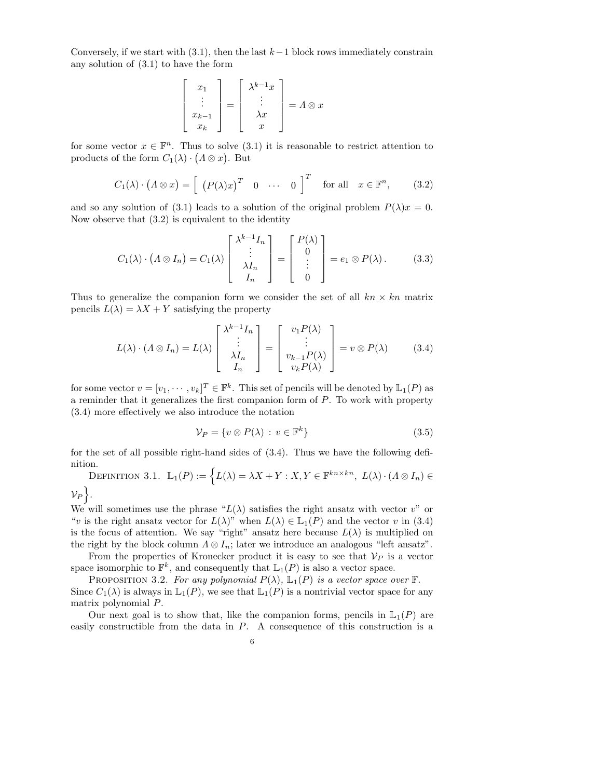Conversely, if we start with  $(3.1)$ , then the last  $k-1$  block rows immediately constrain any solution of (3.1) to have the form

$$
\begin{bmatrix} x_1 \\ \vdots \\ x_{k-1} \\ x_k \end{bmatrix} = \begin{bmatrix} \lambda^{k-1}x \\ \vdots \\ \lambda x \\ x \end{bmatrix} = \Lambda \otimes x
$$

for some vector  $x \in \mathbb{F}^n$ . Thus to solve  $(3.1)$  it is reasonable to restrict attention to products of the form  $C_1(\lambda) \cdot (A \otimes x)$ . But

$$
C_1(\lambda) \cdot (\Lambda \otimes x) = \left[ \begin{array}{ccc} (P(\lambda)x)^T & 0 & \cdots & 0 \end{array} \right]^T \quad \text{for all} \quad x \in \mathbb{F}^n, \tag{3.2}
$$

and so any solution of (3.1) leads to a solution of the original problem  $P(\lambda)x = 0$ . Now observe that (3.2) is equivalent to the identity

$$
C_1(\lambda) \cdot (A \otimes I_n) = C_1(\lambda) \begin{bmatrix} \lambda^{k-1} I_n \\ \vdots \\ \lambda I_n \\ I_n \end{bmatrix} = \begin{bmatrix} P(\lambda) \\ 0 \\ \vdots \\ 0 \end{bmatrix} = e_1 \otimes P(\lambda).
$$
 (3.3)

Thus to generalize the companion form we consider the set of all  $kn \times kn$  matrix pencils  $L(\lambda) = \lambda X + Y$  satisfying the property

$$
L(\lambda) \cdot (A \otimes I_n) = L(\lambda) \begin{bmatrix} \lambda^{k-1} I_n \\ \vdots \\ \lambda I_n \\ I_n \end{bmatrix} = \begin{bmatrix} v_1 P(\lambda) \\ \vdots \\ v_{k-1} P(\lambda) \\ v_k P(\lambda) \end{bmatrix} = v \otimes P(\lambda) \qquad (3.4)
$$

for some vector  $v = [v_1, \dots, v_k]^T \in \mathbb{F}^k$ . This set of pencils will be denoted by  $\mathbb{L}_1(P)$  as a reminder that it generalizes the first companion form of P. To work with property (3.4) more effectively we also introduce the notation

$$
\mathcal{V}_P = \{ v \otimes P(\lambda) : v \in \mathbb{F}^k \} \tag{3.5}
$$

for the set of all possible right-hand sides of (3.4). Thus we have the following definition.

DEFINITION 3.1.  $\mathbb{L}_1(P) := \left\{ L(\lambda) = \lambda X + Y : X, Y \in \mathbb{F}^{kn \times kn}, L(\lambda) \cdot (\Lambda \otimes I_n) \in \mathbb{F}^{kn \times kn} \right\}$ 

 $v_P$ .

We will sometimes use the phrase " $L(\lambda)$  satisfies the right ansatz with vector v" or "v is the right ansatz vector for  $L(\lambda)$ " when  $L(\lambda) \in \mathbb{L}_1(P)$  and the vector v in (3.4) is the focus of attention. We say "right" ansatz here because  $L(\lambda)$  is multiplied on the right by the block column  $\Lambda \otimes I_n$ ; later we introduce an analogous "left ansatz".

From the properties of Kronecker product it is easy to see that  $\mathcal{V}_P$  is a vector space isomorphic to  $\mathbb{F}^k$ , and consequently that  $\mathbb{L}_1(P)$  is also a vector space.

PROPOSITION 3.2. For any polynomial  $P(\lambda)$ ,  $\mathbb{L}_1(P)$  is a vector space over  $\mathbb{F}$ . Since  $C_1(\lambda)$  is always in  $\mathbb{L}_1(P)$ , we see that  $\mathbb{L}_1(P)$  is a nontrivial vector space for any matrix polynomial P.

Our next goal is to show that, like the companion forms, pencils in  $\mathbb{L}_1(P)$  are easily constructible from the data in  $P$ . A consequence of this construction is a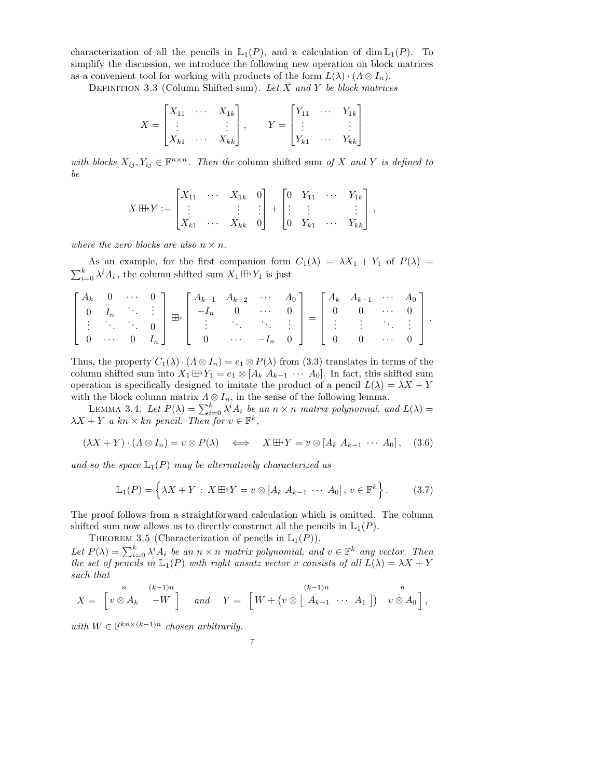characterization of all the pencils in  $\mathbb{L}_1(P)$ , and a calculation of dim  $\mathbb{L}_1(P)$ . To simplify the discussion, we introduce the following new operation on block matrices as a convenient tool for working with products of the form  $L(\lambda) \cdot (\Lambda \otimes I_n)$ .

DEFINITION 3.3 (Column Shifted sum). Let X and Y be block matrices

$$
X = \begin{bmatrix} X_{11} & \cdots & X_{1k} \\ \vdots & & \vdots \\ X_{k1} & \cdots & X_{kk} \end{bmatrix}, \qquad Y = \begin{bmatrix} Y_{11} & \cdots & Y_{1k} \\ \vdots & & \vdots \\ Y_{k1} & \cdots & Y_{kk} \end{bmatrix}
$$

with blocks  $X_{ij}, Y_{ij} \in \mathbb{F}^{n \times n}$ . Then the column shifted sum of X and Y is defined to be

$$
X \boxplus Y := \begin{bmatrix} X_{11} & \cdots & X_{1k} & 0 \\ \vdots & & \vdots & \vdots \\ X_{k1} & \cdots & X_{kk} & 0 \end{bmatrix} + \begin{bmatrix} 0 & Y_{11} & \cdots & Y_{1k} \\ \vdots & \vdots & & \vdots \\ 0 & Y_{k1} & \cdots & Y_{kk} \end{bmatrix},
$$

where the zero blocks are also  $n \times n$ .

As an example, for the first companion form  $C_1(\lambda) = \lambda X_1 + Y_1$  of  $P(\lambda) =$  $\sum_{i=0}^{k} \lambda^{i} A_{i}$ , the column shifted sum  $X_1 \boxplus Y_1$  is just

$$
\begin{bmatrix} A_k & 0 & \cdots & 0 \\ 0 & I_n & \ddots & \vdots \\ \vdots & \ddots & \ddots & 0 \\ 0 & \cdots & 0 & I_n \end{bmatrix} \boxplus \begin{bmatrix} A_{k-1} & A_{k-2} & \cdots & A_0 \\ -I_n & 0 & \cdots & 0 \\ \vdots & \ddots & \ddots & \vdots \\ 0 & \cdots & -I_n & 0 \end{bmatrix} = \begin{bmatrix} A_k & A_{k-1} & \cdots & A_0 \\ 0 & 0 & \cdots & 0 \\ \vdots & \vdots & \ddots & \vdots \\ 0 & 0 & \cdots & 0 \end{bmatrix}.
$$

Thus, the property  $C_1(\lambda) \cdot (\Lambda \otimes I_n) = e_1 \otimes P(\lambda)$  from (3.3) translates in terms of the column shifted sum into  $X_1 \oplus Y_1 = e_1 \otimes [A_k \ A_{k-1} \ \cdots \ A_0].$  In fact, this shifted sum operation is specifically designed to imitate the product of a pencil  $L(\lambda) = \lambda X + Y$ with the block column matrix  $\Lambda \otimes I_n$ , in the sense of the following lemma.

LEMMA 3.4. Let  $P(\lambda) = \sum_{i=0}^{k} \lambda^{i} A_i$  be an  $n \times n$  matrix polynomial, and  $L(\lambda) =$  $\lambda X + Y$  a kn × kn pencil. Then for  $v \in \mathbb{F}^k$ ,

$$
(\lambda X + Y) \cdot (\Lambda \otimes I_n) = v \otimes P(\lambda) \iff X \boxplus Y = v \otimes [A_k A_{k-1} \cdots A_0], \quad (3.6)
$$

and so the space  $\mathbb{L}_1(P)$  may be alternatively characterized as

$$
\mathbb{L}_1(P) = \left\{ \lambda X + Y : X \boxplus Y = v \otimes [A_k \ A_{k-1} \ \cdots \ A_0], \ v \in \mathbb{F}^k \right\}.
$$
 (3.7)

The proof follows from a straightforward calculation which is omitted. The column shifted sum now allows us to directly construct all the pencils in  $\mathbb{L}_1(P)$ .

THEOREM 3.5 (Characterization of pencils in  $\mathbb{L}_1(P)$ ).

Let  $P(\lambda) = \sum_{i=0}^{k} \lambda^{i} A_{i}$  be an  $n \times n$  matrix polynomial, and  $v \in \mathbb{F}^{k}$  any vector. Then the set of pencils in  $\mathbb{L}_1(P)$  with right ansatz vector v consists of all  $L(\lambda) = \lambda X + Y$ such that

$$
X = \begin{bmatrix} n & (k-1)n \\ v \otimes A_k & -W \end{bmatrix} \quad and \quad Y = \begin{bmatrix} W + (v \otimes [A_{k-1} \cdots A_1]) & v \otimes A_0 \end{bmatrix},
$$

with  $W \in \mathbb{F}^{kn \times (k-1)n}$  chosen arbitrarily.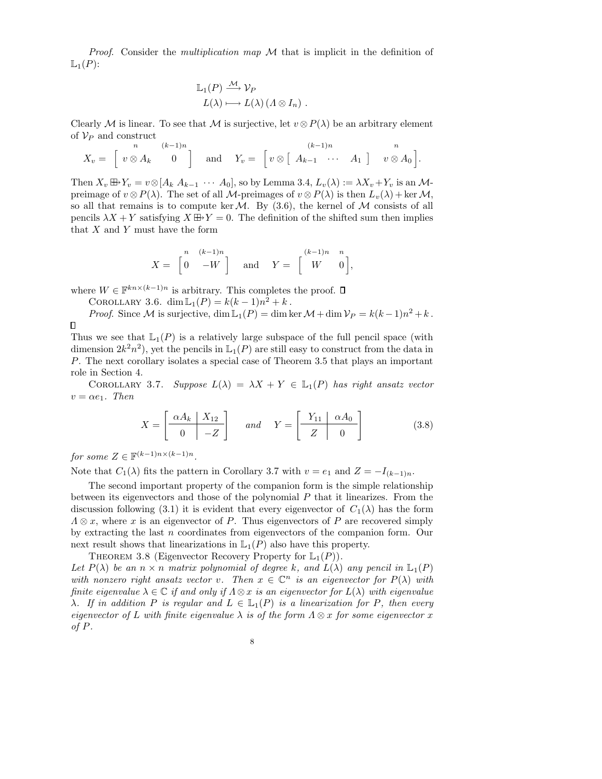*Proof.* Consider the *multiplication map*  $M$  that is implicit in the definition of  $\mathbb{L}_1(P)$ :

$$
\mathbb{L}_1(P) \xrightarrow{\mathcal{M}} \mathcal{V}_P
$$
  

$$
L(\lambda) \longmapsto L(\lambda) (\Lambda \otimes I_n) .
$$

Clearly M is linear. To see that M is surjective, let  $v \otimes P(\lambda)$  be an arbitrary element of  $V_P$  and construct

$$
X_v = \begin{bmatrix} n & (k-1)n \\ v \otimes A_k & 0 \end{bmatrix} \quad \text{and} \quad Y_v = \begin{bmatrix} (k-1)n & n \\ v \otimes \begin{bmatrix} A_{k-1} & \cdots & A_1 \end{bmatrix} & v \otimes A_0 \end{bmatrix}.
$$

Then  $X_v \boxplus Y_v = v \otimes [A_k \ A_{k-1} \ \cdots \ A_0],$  so by Lemma 3.4,  $L_v(\lambda) := \lambda X_v + Y_v$  is an  $\mathcal{M}$ preimage of  $v \otimes P(\lambda)$ . The set of all M-preimages of  $v \otimes P(\lambda)$  is then  $L_v(\lambda) + \text{ker } M$ , so all that remains is to compute ker $\mathcal M$ . By (3.6), the kernel of  $\mathcal M$  consists of all pencils  $\lambda X + Y$  satisfying  $X \boxplus Y = 0$ . The definition of the shifted sum then implies that  $X$  and  $Y$  must have the form

$$
X = \begin{bmatrix} n & (k-1)n \\ 0 & -W \end{bmatrix} \quad \text{and} \quad Y = \begin{bmatrix} (k-1)n & n \\ W & 0 \end{bmatrix},
$$

where  $W \in \mathbb{F}^{kn \times (k-1)n}$  is arbitrary. This completes the proof.

COROLLARY 3.6. dim  $\mathbb{L}_1(P) = k(k-1)n^2 + k$ .

*Proof.* Since M is surjective,  $\dim \mathbb{L}_1(P) = \dim \ker \mathcal{M} + \dim \mathcal{V}_P = k(k-1)n^2 + k$ .  $\Box$ 

Thus we see that  $\mathbb{L}_1(P)$  is a relatively large subspace of the full pencil space (with dimension  $2k^2n^2$ , yet the pencils in  $\mathbb{L}_1(P)$  are still easy to construct from the data in P. The next corollary isolates a special case of Theorem 3.5 that plays an important role in Section 4.

COROLLARY 3.7. Suppose  $L(\lambda) = \lambda X + Y \in \mathbb{L}_1(P)$  has right ansatz vector  $v = \alpha e_1$ . Then

$$
X = \begin{bmatrix} \alpha A_k & X_{12} \\ 0 & -Z \end{bmatrix} \quad \text{and} \quad Y = \begin{bmatrix} Y_{11} & \alpha A_0 \\ Z & 0 \end{bmatrix}
$$
 (3.8)

for some  $Z \in \mathbb{F}^{(k-1)n \times (k-1)n}$ .

Note that  $C_1(\lambda)$  fits the pattern in Corollary 3.7 with  $v = e_1$  and  $Z = -I_{(k-1)n}$ .

The second important property of the companion form is the simple relationship between its eigenvectors and those of the polynomial  $P$  that it linearizes. From the discussion following (3.1) it is evident that every eigenvector of  $C_1(\lambda)$  has the form  $\Lambda \otimes x$ , where x is an eigenvector of P. Thus eigenvectors of P are recovered simply by extracting the last n coordinates from eigenvectors of the companion form. Our next result shows that linearizations in  $\mathbb{L}_1(P)$  also have this property.

THEOREM 3.8 (Eigenvector Recovery Property for  $\mathbb{L}_1(P)$ ).

Let  $P(\lambda)$  be an  $n \times n$  matrix polynomial of degree k, and  $L(\lambda)$  any pencil in  $\mathbb{L}_1(P)$ with nonzero right ansatz vector v. Then  $x \in \mathbb{C}^n$  is an eigenvector for  $P(\lambda)$  with finite eigenvalue  $\lambda \in \mathbb{C}$  if and only if  $\Lambda \otimes x$  is an eigenvector for  $L(\lambda)$  with eigenvalue  $\lambda$ . If in addition P is regular and  $L \in \mathbb{L}_1(P)$  is a linearization for P, then every eigenvector of L with finite eigenvalue  $\lambda$  is of the form  $\Lambda \otimes x$  for some eigenvector x of P.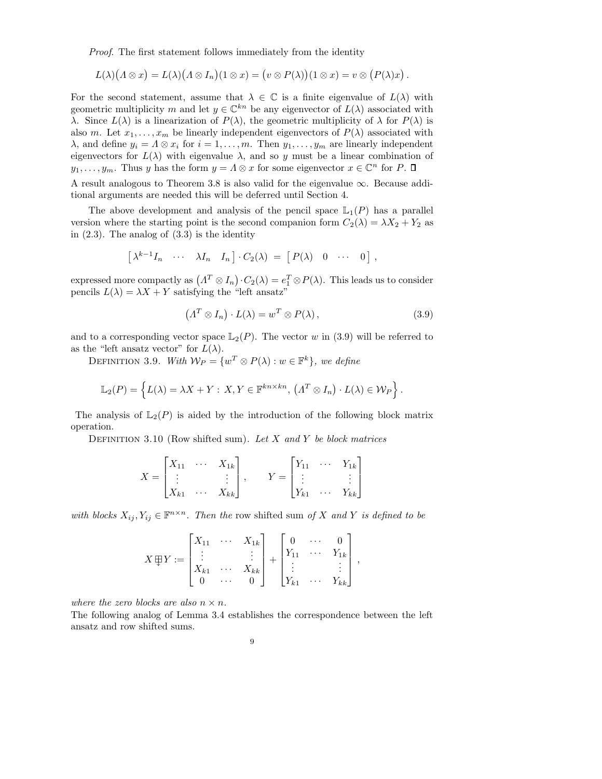Proof. The first statement follows immediately from the identity

$$
L(\lambda)(\Lambda\otimes x)=L(\lambda)(\Lambda\otimes I_n)(1\otimes x)=(v\otimes P(\lambda))(1\otimes x)=v\otimes (P(\lambda)x).
$$

For the second statement, assume that  $\lambda \in \mathbb{C}$  is a finite eigenvalue of  $L(\lambda)$  with geometric multiplicity m and let  $y \in \mathbb{C}^{kn}$  be any eigenvector of  $L(\lambda)$  associated with λ. Since  $L(λ)$  is a linearization of  $P(λ)$ , the geometric multiplicity of  $λ$  for  $P(λ)$  is also m. Let  $x_1, \ldots, x_m$  be linearly independent eigenvectors of  $P(\lambda)$  associated with  $\lambda$ , and define  $y_i = \Lambda \otimes x_i$  for  $i = 1, ..., m$ . Then  $y_1, ..., y_m$  are linearly independent eigenvectors for  $L(\lambda)$  with eigenvalue  $\lambda$ , and so y must be a linear combination of  $y_1, \ldots, y_m$ . Thus y has the form  $y = \Lambda \otimes x$  for some eigenvector  $x \in \mathbb{C}^n$  for P.

A result analogous to Theorem 3.8 is also valid for the eigenvalue  $\infty$ . Because additional arguments are needed this will be deferred until Section 4.

The above development and analysis of the pencil space  $\mathbb{L}_1(P)$  has a parallel version where the starting point is the second companion form  $C_2(\lambda) = \lambda X_2 + Y_2$  as in  $(2.3)$ . The analog of  $(3.3)$  is the identity

$$
\left[\begin{array}{cccc}\lambda^{k-1}I_n & \cdots & \lambda I_n & I_n\end{array}\right] \cdot C_2(\lambda) = \left[\begin{array}{cccc}\nP(\lambda) & 0 & \cdots & 0\end{array}\right],
$$

expressed more compactly as  $(A^T \otimes I_n) \cdot C_2(\lambda) = e_1^T \otimes P(\lambda)$ . This leads us to consider pencils  $L(\lambda) = \lambda X + Y$  satisfying the "left ansatz"

$$
(AT \otimes In) \cdot L(\lambda) = wT \otimes P(\lambda), \qquad (3.9)
$$

and to a corresponding vector space  $\mathbb{L}_2(P)$ . The vector w in (3.9) will be referred to as the "left ansatz vector" for  $L(\lambda)$ .

DEFINITION 3.9. With  $W_P = \{w^T \otimes P(\lambda) : w \in \mathbb{F}^k\}$ , we define

$$
\mathbb{L}_2(P) = \left\{ L(\lambda) = \lambda X + Y : X, Y \in \mathbb{F}^{kn \times kn}, \left( \Lambda^T \otimes I_n \right) \cdot L(\lambda) \in \mathcal{W}_P \right\}.
$$

The analysis of  $\mathbb{L}_2(P)$  is aided by the introduction of the following block matrix operation.

DEFINITION 3.10 (Row shifted sum). Let  $X$  and  $Y$  be block matrices

$$
X = \begin{bmatrix} X_{11} & \cdots & X_{1k} \\ \vdots & & \vdots \\ X_{k1} & \cdots & X_{kk} \end{bmatrix}, \qquad Y = \begin{bmatrix} Y_{11} & \cdots & Y_{1k} \\ \vdots & & \vdots \\ Y_{k1} & \cdots & Y_{kk} \end{bmatrix}
$$

with blocks  $X_{ij}, Y_{ij} \in \mathbb{F}^{n \times n}$ . Then the row shifted sum of X and Y is defined to be

$$
X \boxplus Y := \begin{bmatrix} X_{11} & \cdots & X_{1k} \\ \vdots & & \vdots \\ X_{k1} & \cdots & X_{kk} \\ 0 & \cdots & 0 \end{bmatrix} + \begin{bmatrix} 0 & \cdots & 0 \\ Y_{11} & \cdots & Y_{1k} \\ \vdots & & \vdots \\ Y_{k1} & \cdots & Y_{kk} \end{bmatrix},
$$

where the zero blocks are also  $n \times n$ .

The following analog of Lemma 3.4 establishes the correspondence between the left ansatz and row shifted sums.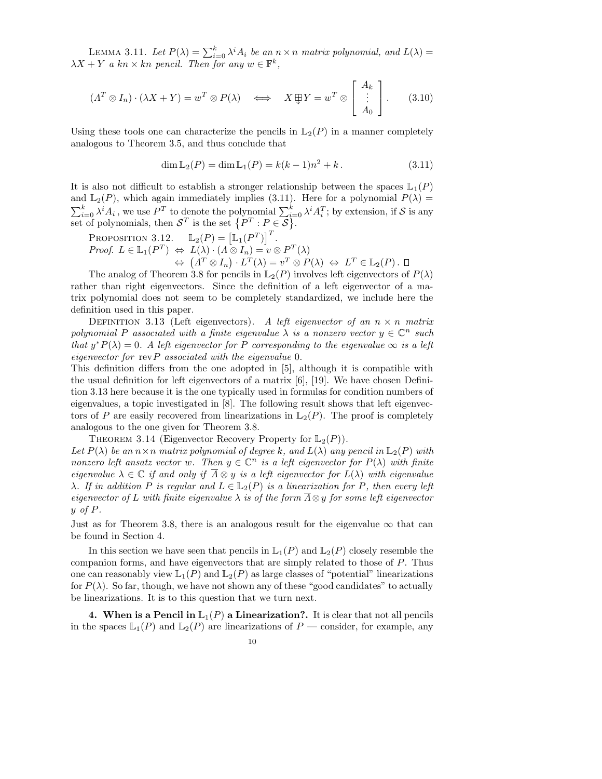LEMMA 3.11. Let  $P(\lambda) = \sum_{i=0}^{k} \lambda^{i} A_{i}$  be an  $n \times n$  matrix polynomial, and  $L(\lambda) =$  $\lambda X + Y$  a kn × kn pencil. Then for any  $w \in \mathbb{F}^k$ ,

$$
(A^T \otimes I_n) \cdot (\lambda X + Y) = w^T \otimes P(\lambda) \iff X \boxplus Y = w^T \otimes \begin{bmatrix} A_k \\ \vdots \\ A_0 \end{bmatrix} . \tag{3.10}
$$

Using these tools one can characterize the pencils in  $\mathbb{L}_2(P)$  in a manner completely analogous to Theorem 3.5, and thus conclude that

$$
\dim \mathbb{L}_2(P) = \dim \mathbb{L}_1(P) = k(k-1)n^2 + k. \tag{3.11}
$$

It is also not difficult to establish a stronger relationship between the spaces  $\mathbb{L}_1(P)$ and  $\mathbb{L}_2(P)$ , which again immediately implies (3.11). Here for a polynomial  $P(\lambda)$  =  $\sum_{i=0}^k \lambda^i A_i$ , we use  $P^T$  to denote the polynomial  $\sum_{i=0}^k \lambda^i A_i^T$ ; by extension, if S is any set of polynomials, then  $S^T$  is the set  $\{P^T : P \in S\}$ .

PROPOSITION 3.12.  $\mathbb{L}_2(P) = [\mathbb{L}_1(P^T)]^T$ . *Proof.*  $L \in \mathbb{L}_1(P^T) \iff L(\lambda) \cdot (\Lambda \otimes I_n) = v \otimes P^T(\lambda)$  $\Leftrightarrow$   $(\Lambda^T \otimes I_n) \cdot L^T(\lambda) = v^T \otimes P(\lambda) \Leftrightarrow L^T \in \mathbb{L}_2(P)$ .

The analog of Theorem 3.8 for pencils in  $\mathbb{L}_2(P)$  involves left eigenvectors of  $P(\lambda)$ rather than right eigenvectors. Since the definition of a left eigenvector of a matrix polynomial does not seem to be completely standardized, we include here the definition used in this paper.

DEFINITION 3.13 (Left eigenvectors). A left eigenvector of an  $n \times n$  matrix polynomial P associated with a finite eigenvalue  $\lambda$  is a nonzero vector  $y \in \mathbb{C}^n$  such that  $y^*P(\lambda) = 0$ . A left eigenvector for P corresponding to the eigenvalue  $\infty$  is a left eigenvector for  $revP$  associated with the eigenvalue 0.

This definition differs from the one adopted in [5], although it is compatible with the usual definition for left eigenvectors of a matrix [6], [19]. We have chosen Definition 3.13 here because it is the one typically used in formulas for condition numbers of eigenvalues, a topic investigated in [8]. The following result shows that left eigenvectors of P are easily recovered from linearizations in  $\mathbb{L}_2(P)$ . The proof is completely analogous to the one given for Theorem 3.8.

THEOREM 3.14 (Eigenvector Recovery Property for  $\mathbb{L}_2(P)$ ).

Let  $P(\lambda)$  be an  $n \times n$  matrix polynomial of degree k, and  $L(\lambda)$  any pencil in  $\mathbb{L}_2(P)$  with nonzero left ansatz vector w. Then  $y \in \mathbb{C}^n$  is a left eigenvector for  $P(\lambda)$  with finite eigenvalue  $\lambda \in \mathbb{C}$  if and only if  $\overline{\Lambda} \otimes y$  is a left eigenvector for  $L(\lambda)$  with eigenvalue λ. If in addition P is regular and  $L \in \mathbb{L}_2(P)$  is a linearization for P, then every left eigenvector of L with finite eigenvalue  $\lambda$  is of the form  $\overline{\Lambda} \otimes y$  for some left eigenvector  $y \text{ of } P$ .

Just as for Theorem 3.8, there is an analogous result for the eigenvalue  $\infty$  that can be found in Section 4.

In this section we have seen that pencils in  $\mathbb{L}_1(P)$  and  $\mathbb{L}_2(P)$  closely resemble the companion forms, and have eigenvectors that are simply related to those of P. Thus one can reasonably view  $\mathbb{L}_1(P)$  and  $\mathbb{L}_2(P)$  as large classes of "potential" linearizations for  $P(\lambda)$ . So far, though, we have not shown any of these "good candidates" to actually be linearizations. It is to this question that we turn next.

4. When is a Pencil in  $L_1(P)$  a Linearization?. It is clear that not all pencils in the spaces  $\mathbb{L}_1(P)$  and  $\mathbb{L}_2(P)$  are linearizations of P — consider, for example, any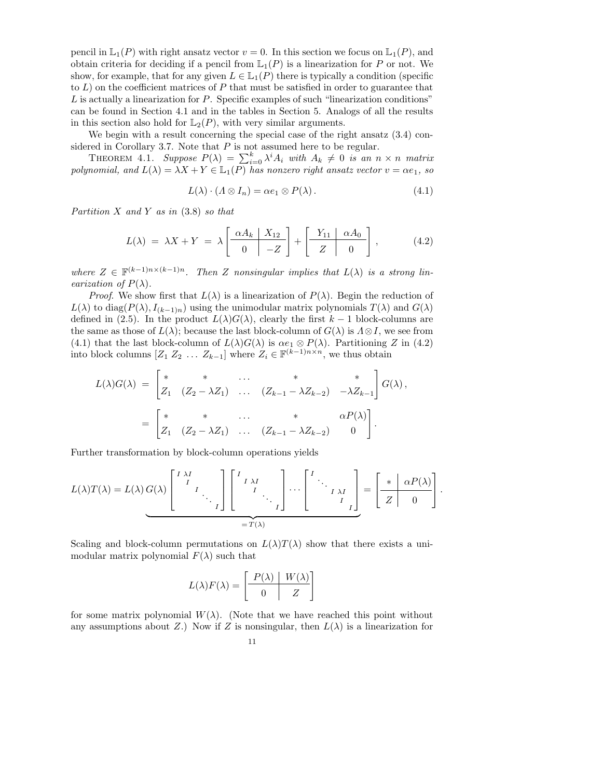pencil in  $\mathbb{L}_1(P)$  with right ansatz vector  $v = 0$ . In this section we focus on  $\mathbb{L}_1(P)$ , and obtain criteria for deciding if a pencil from  $\mathbb{L}_1(P)$  is a linearization for P or not. We show, for example, that for any given  $L \in \mathbb{L}_1(P)$  there is typically a condition (specific to  $L$ ) on the coefficient matrices of P that must be satisfied in order to guarantee that L is actually a linearization for P. Specific examples of such "linearization conditions" can be found in Section 4.1 and in the tables in Section 5. Analogs of all the results in this section also hold for  $\mathbb{L}_2(P)$ , with very similar arguments.

We begin with a result concerning the special case of the right ansatz  $(3.4)$  considered in Corollary 3.7. Note that  $P$  is not assumed here to be regular.

THEOREM 4.1. Suppose  $P(\lambda) = \sum_{i=0}^{k} \lambda^{i} A_{i}$  with  $A_{k} \neq 0$  is an  $n \times n$  matrix polynomial, and  $L(\lambda) = \lambda X + Y \in \mathbb{L}_1(P)$  has nonzero right ansatz vector  $v = \alpha e_1$ , so

$$
L(\lambda) \cdot (\Lambda \otimes I_n) = \alpha e_1 \otimes P(\lambda).
$$
 (4.1)

Partition  $X$  and  $Y$  as in  $(3.8)$  so that

$$
L(\lambda) = \lambda X + Y = \lambda \left[ \begin{array}{c|c} \alpha A_k & X_{12} \\ \hline 0 & -Z \end{array} \right] + \left[ \begin{array}{c|c} Y_{11} & \alpha A_0 \\ \hline Z & 0 \end{array} \right], \quad (4.2)
$$

where  $Z \in \mathbb{F}^{(k-1)n \times (k-1)n}$ . Then Z nonsingular implies that  $L(\lambda)$  is a strong linearization of  $P(\lambda)$ .

*Proof.* We show first that  $L(\lambda)$  is a linearization of  $P(\lambda)$ . Begin the reduction of  $L(\lambda)$  to diag( $P(\lambda)$ ,  $I_{(k-1)n}$ ) using the unimodular matrix polynomials  $T(\lambda)$  and  $G(\lambda)$ defined in (2.5). In the product  $L(\lambda)G(\lambda)$ , clearly the first  $k-1$  block-columns are the same as those of  $L(\lambda)$ ; because the last block-column of  $G(\lambda)$  is  $\Lambda \otimes I$ , we see from (4.1) that the last block-column of  $L(\lambda)G(\lambda)$  is  $\alpha e_1 \otimes P(\lambda)$ . Partitioning Z in (4.2) into block columns  $[Z_1 \ Z_2 \ \dots \ Z_{k-1}]$  where  $Z_i \in \mathbb{F}^{(k-1)n \times n}$ , we thus obtain

$$
L(\lambda)G(\lambda) = \begin{bmatrix} * & * & \cdots & * & * \\ Z_1 & (Z_2 - \lambda Z_1) & \cdots & (Z_{k-1} - \lambda Z_{k-2}) & -\lambda Z_{k-1} \end{bmatrix} G(\lambda),
$$
  
= 
$$
\begin{bmatrix} * & * & \cdots & * & \alpha P(\lambda) \\ Z_1 & (Z_2 - \lambda Z_1) & \cdots & (Z_{k-1} - \lambda Z_{k-2}) & 0 \end{bmatrix}.
$$

Further transformation by block-column operations yields

$$
L(\lambda)T(\lambda) = L(\lambda) G(\lambda) \begin{bmatrix} I & \lambda I \\ & I & \\ & & \ddots \\ & & & & I \end{bmatrix} \begin{bmatrix} I & \lambda I \\ & I & \\ & & \ddots \\ & & & & I \end{bmatrix} \cdots \begin{bmatrix} I & \lambda I \\ & I & \lambda I \\ & & & I \end{bmatrix} = \begin{bmatrix} * & \alpha P(\lambda) \\ Z & 0 \end{bmatrix}.
$$

Scaling and block-column permutations on  $L(\lambda)T(\lambda)$  show that there exists a unimodular matrix polynomial  $F(\lambda)$  such that

$$
L(\lambda)F(\lambda) = \left[\begin{array}{c|c} P(\lambda) & W(\lambda) \\ \hline 0 & Z \end{array}\right]
$$

for some matrix polynomial  $W(\lambda)$ . (Note that we have reached this point without any assumptions about Z.) Now if Z is nonsingular, then  $L(\lambda)$  is a linearization for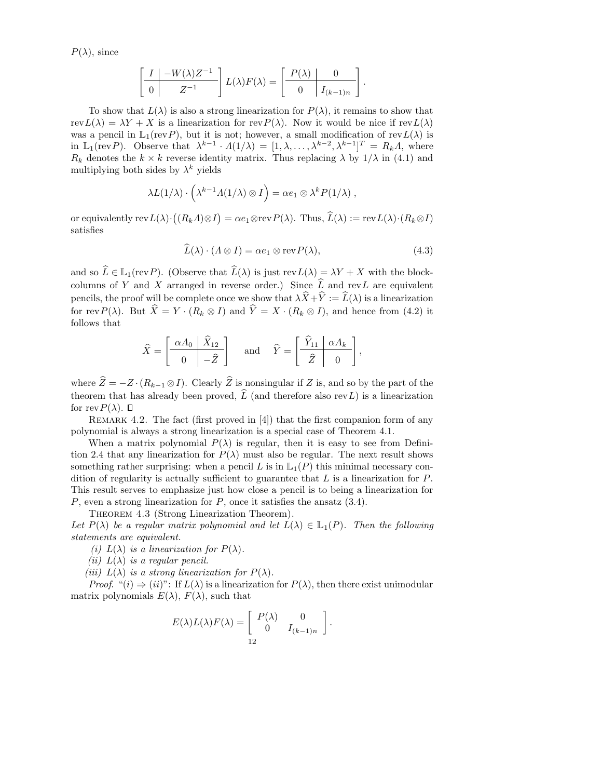$P(\lambda)$ , since

$$
\left[\begin{array}{c|c} I & -W(\lambda)Z^{-1} \\ \hline 0 & Z^{-1} \end{array}\right] L(\lambda) F(\lambda) = \left[\begin{array}{c|c} P(\lambda) & 0 \\ \hline 0 & I_{(k-1)n} \end{array}\right].
$$

To show that  $L(\lambda)$  is also a strong linearization for  $P(\lambda)$ , it remains to show that rev $L(\lambda) = \lambda Y + X$  is a linearization for rev $P(\lambda)$ . Now it would be nice if rev $L(\lambda)$ was a pencil in  $\mathbb{L}_1(\text{rev }P)$ , but it is not; however, a small modification of rev $L(\lambda)$  is in  $\mathbb{L}_1(\text{rev } P)$ . Observe that  $\lambda^{k-1} \cdot \Lambda(1/\lambda) = [1, \lambda, \ldots, \lambda^{k-2}, \lambda^{k-1}]^T = R_k \Lambda$ , where  $R_k$  denotes the  $k \times k$  reverse identity matrix. Thus replacing  $\lambda$  by  $1/\lambda$  in (4.1) and multiplying both sides by  $\lambda^k$  yields

$$
\lambda L(1/\lambda) \cdot \left(\lambda^{k-1} \Lambda(1/\lambda) \otimes I\right) = \alpha e_1 \otimes \lambda^k P(1/\lambda) ,
$$

or equivalently  $\text{rev } L(\lambda) \cdot ((R_k \Lambda) \otimes I) = \alpha e_1 \otimes \text{rev } P(\lambda)$ . Thus,  $\widehat{L}(\lambda) := \text{rev } L(\lambda) \cdot (R_k \otimes I)$ satisfies

$$
\widehat{L}(\lambda) \cdot (\Lambda \otimes I) = \alpha e_1 \otimes \text{rev}\, P(\lambda),\tag{4.3}
$$

and so  $\widehat{L} \in \mathbb{L}_1(\text{rev } P)$ . (Observe that  $\widehat{L}(\lambda)$  is just rev $L(\lambda) = \lambda Y + X$  with the blockcolumns of Y and X arranged in reverse order.) Since  $\hat{L}$  and revL are equivalent pencils, the proof will be complete once we show that  $\lambda \widehat{X} + \widehat{Y} := \widehat{L}(\lambda)$  is a linearization for rev $P(\lambda)$ . But  $\hat{X} = Y \cdot (R_k \otimes I)$  and  $\hat{Y} = X \cdot (R_k \otimes I)$ , and hence from (4.2) it follows that

$$
\widehat{X} = \begin{bmatrix} \frac{\alpha A_0 & \widehat{X}_{12}}{\alpha} \\ 0 & -\widehat{Z} \end{bmatrix} \quad \text{and} \quad \widehat{Y} = \begin{bmatrix} \widehat{Y}_{11} & \alpha A_k \\ \widehat{Z} & 0 \end{bmatrix},
$$

where  $\hat{Z} = -Z \cdot (R_{k-1} \otimes I)$ . Clearly  $\hat{Z}$  is nonsingular if Z is, and so by the part of the theorem that has already been proved,  $\widehat{L}$  (and therefore also revL) is a linearization for rev $P(\lambda)$ .  $\Box$ 

REMARK 4.2. The fact (first proved in  $[4]$ ) that the first companion form of any polynomial is always a strong linearization is a special case of Theorem 4.1.

When a matrix polynomial  $P(\lambda)$  is regular, then it is easy to see from Definition 2.4 that any linearization for  $P(\lambda)$  must also be regular. The next result shows something rather surprising: when a pencil L is in  $\mathbb{L}_1(P)$  this minimal necessary condition of regularity is actually sufficient to guarantee that  $L$  is a linearization for  $P$ . This result serves to emphasize just how close a pencil is to being a linearization for  $P$ , even a strong linearization for  $P$ , once it satisfies the ansatz  $(3.4)$ .

THEOREM 4.3 (Strong Linearization Theorem).

Let  $P(\lambda)$  be a regular matrix polynomial and let  $L(\lambda) \in \mathbb{L}_1(P)$ . Then the following statements are equivalent.

(i)  $L(\lambda)$  is a linearization for  $P(\lambda)$ .

(*ii*)  $L(\lambda)$  is a regular pencil.

(iii)  $L(\lambda)$  is a strong linearization for  $P(\lambda)$ .

*Proof.* " $(i) \Rightarrow (ii)$ ": If  $L(\lambda)$  is a linearization for  $P(\lambda)$ , then there exist unimodular matrix polynomials  $E(\lambda)$ ,  $F(\lambda)$ , such that

$$
E(\lambda)L(\lambda)F(\lambda) = \begin{bmatrix} P(\lambda) & 0 \\ 0 & I_{(k-1)n} \end{bmatrix}.
$$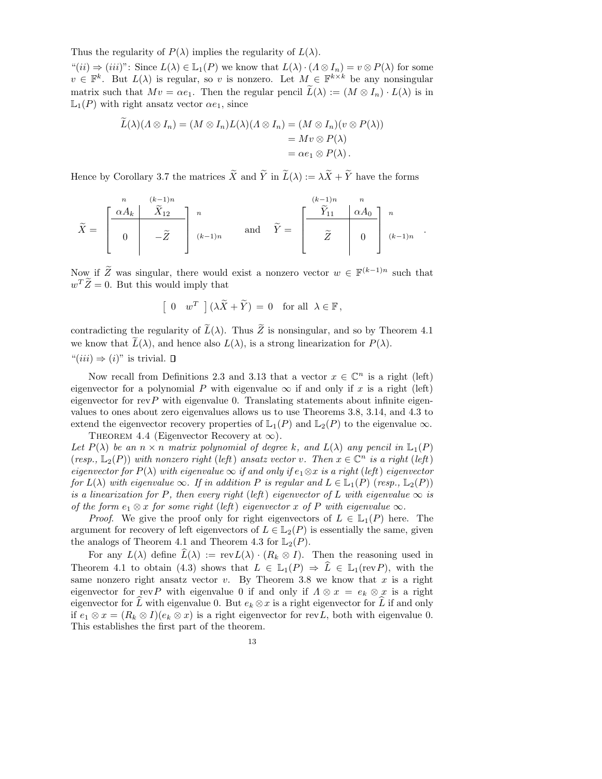Thus the regularity of  $P(\lambda)$  implies the regularity of  $L(\lambda)$ .

 $``(ii) \Rightarrow (iii)":$  Since  $L(\lambda) \in \mathbb{L}_1(P)$  we know that  $L(\lambda) \cdot (\Lambda \otimes I_n) = v \otimes P(\lambda)$  for some  $v \in \mathbb{F}^k$ . But  $L(\lambda)$  is regular, so v is nonzero. Let  $M \in \mathbb{F}^{k \times k}$  be any nonsingular matrix such that  $Mv = \alpha e_1$ . Then the regular pencil  $\widetilde{L}(\lambda) := (M \otimes I_n) \cdot L(\lambda)$  is in  $\mathbb{L}_1(P)$  with right ansatz vector  $\alpha e_1$ , since

$$
\tilde{L}(\lambda)(\Lambda \otimes I_n) = (M \otimes I_n)L(\lambda)(\Lambda \otimes I_n) = (M \otimes I_n)(v \otimes P(\lambda))
$$
  
=  $Mv \otimes P(\lambda)$   
=  $\alpha e_1 \otimes P(\lambda)$ .

Hence by Corollary 3.7 the matrices  $\widetilde{X}$  and  $\widetilde{Y}$  in  $\widetilde{L}(\lambda) := \lambda \widetilde{X} + \widetilde{Y}$  have the forms

$$
\widetilde{X} = \begin{bmatrix} \frac{\alpha A_k}{\widetilde{X}_{12}} & \widetilde{X}_{12} \\ 0 & -\widetilde{Z} \end{bmatrix} \begin{bmatrix} n \\ (k-1)n \end{bmatrix} \text{ and } \widetilde{Y} = \begin{bmatrix} \frac{\widetilde{Y}_{11}}{\widetilde{Y}_{11}} & \alpha A_0 \\ \widetilde{Z} & 0 \end{bmatrix} \begin{bmatrix} n \\ (k-1)n \end{bmatrix}
$$

.

Now if  $\widetilde{Z}$  was singular, there would exist a nonzero vector  $w \in \mathbb{F}^{(k-1)n}$  such that  $w^T \tilde{Z} = 0$ . But this would imply that

$$
\left[\begin{array}{cc} 0 & w^T \end{array}\right] \left(\lambda \widetilde{X} + \widetilde{Y}\right) = 0 \text{ for all } \lambda \in \mathbb{F},
$$

contradicting the regularity of  $\widetilde{L}(\lambda)$ . Thus  $\widetilde{Z}$  is nonsingular, and so by Theorem 4.1 we know that  $\widetilde{L}(\lambda)$ , and hence also  $L(\lambda)$ , is a strong linearization for  $P(\lambda)$ .

 $"(iii) \Rightarrow (i)"$  is trivial.  $\Box$ 

Now recall from Definitions 2.3 and 3.13 that a vector  $x \in \mathbb{C}^n$  is a right (left) eigenvector for a polynomial P with eigenvalue  $\infty$  if and only if x is a right (left) eigenvector for rev $P$  with eigenvalue 0. Translating statements about infinite eigenvalues to ones about zero eigenvalues allows us to use Theorems 3.8, 3.14, and 4.3 to extend the eigenvector recovery properties of  $\mathbb{L}_1(P)$  and  $\mathbb{L}_2(P)$  to the eigenvalue  $\infty$ . THEOREM 4.4 (Eigenvector Recovery at  $\infty$ ).

Let  $P(\lambda)$  be an  $n \times n$  matrix polynomial of degree k, and  $L(\lambda)$  any pencil in  $\mathbb{L}_1(P)$ (resp.,  $\mathbb{L}_2(P)$ ) with nonzero right (left) ansatz vector v. Then  $x \in \mathbb{C}^n$  is a right (left) eigenvector for  $P(\lambda)$  with eigenvalue  $\infty$  if and only if  $e_1 \otimes x$  is a right (left) eigenvector for  $L(\lambda)$  with eigenvalue  $\infty$ . If in addition P is regular and  $L \in L_1(P)$  (resp.,  $L_2(P)$ ) is a linearization for P, then every right (left) eigenvector of L with eigenvalue  $\infty$  is of the form  $e_1 \otimes x$  for some right (left) eigenvector x of P with eigenvalue  $\infty$ .

*Proof.* We give the proof only for right eigenvectors of  $L \in \mathbb{L}_1(P)$  here. The argument for recovery of left eigenvectors of  $L \in L_2(P)$  is essentially the same, given the analogs of Theorem 4.1 and Theorem 4.3 for  $\mathbb{L}_2(P)$ .

For any  $L(\lambda)$  define  $\widehat{L}(\lambda) := \text{rev } L(\lambda) \cdot (R_k \otimes I)$ . Then the reasoning used in Theorem 4.1 to obtain (4.3) shows that  $L \in \mathbb{L}_1(P) \Rightarrow \hat{L} \in \mathbb{L}_1(\text{rev}P)$ , with the same nonzero right ansatz vector  $v$ . By Theorem 3.8 we know that  $x$  is a right eigenvector for revP with eigenvalue 0 if and only if  $\Lambda \otimes x = e_k \otimes x$  is a right eigenvector for  $\widehat{L}$  with eigenvalue 0. But  $e_k \otimes x$  is a right eigenvector for  $\widehat{L}$  if and only if  $e_1 \otimes x = (R_k \otimes I)(e_k \otimes x)$  is a right eigenvector for revL, both with eigenvalue 0. This establishes the first part of the theorem.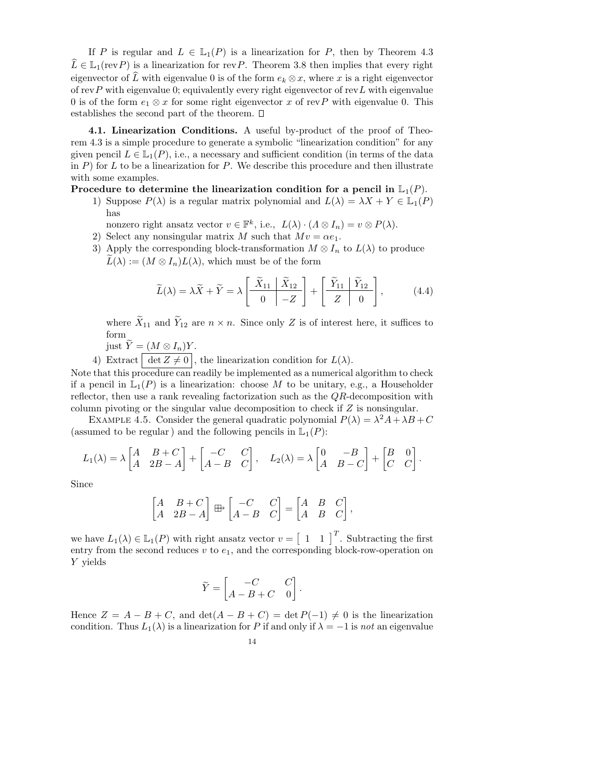If P is regular and  $L \in \mathbb{L}_1(P)$  is a linearization for P, then by Theorem 4.3  $\widehat{L} \in \mathbb{L}_1(\text{rev}P)$  is a linearization for revP. Theorem 3.8 then implies that every right eigenvector of L with eigenvalue 0 is of the form  $e_k \otimes x$ , where x is a right eigenvector of rev $P$  with eigenvalue 0; equivalently every right eigenvector of rev $L$  with eigenvalue 0 is of the form  $e_1 \otimes x$  for some right eigenvector x of revP with eigenvalue 0. This establishes the second part of the theorem.

4.1. Linearization Conditions. A useful by-product of the proof of Theorem 4.3 is a simple procedure to generate a symbolic "linearization condition" for any given pencil  $L \in L_1(P)$ , i.e., a necessary and sufficient condition (in terms of the data in P) for L to be a linearization for P. We describe this procedure and then illustrate with some examples.

Procedure to determine the linearization condition for a pencil in  $\mathbb{L}_1(P)$ .

1) Suppose  $P(\lambda)$  is a regular matrix polynomial and  $L(\lambda) = \lambda X + Y \in \mathbb{L}_1(P)$ has

nonzero right ansatz vector  $v \in \mathbb{F}^k$ , i.e.,  $L(\lambda) \cdot (\Lambda \otimes I_n) = v \otimes P(\lambda)$ .

- 2) Select any nonsingular matrix M such that  $Mv = \alpha e_1$ .
- 3) Apply the corresponding block-transformation  $M \otimes I_n$  to  $L(\lambda)$  to produce  $L(\lambda) := (M \otimes I_n)L(\lambda)$ , which must be of the form

$$
\widetilde{L}(\lambda) = \lambda \widetilde{X} + \widetilde{Y} = \lambda \left[ \begin{array}{c|c} \widetilde{X}_{11} & \widetilde{X}_{12} \\ \hline 0 & -Z \end{array} \right] + \left[ \begin{array}{c|c} \widetilde{Y}_{11} & \widetilde{Y}_{12} \\ \hline Z & 0 \end{array} \right],\tag{4.4}
$$

where  $\widetilde{X}_{11}$  and  $\widetilde{Y}_{12}$  are  $n \times n$ . Since only Z is of interest here, it suffices to form

just  $\widetilde{Y} = (M \otimes I_n)Y$ .

4) Extract  $\boxed{\det Z \neq 0}$ , the linearization condition for  $L(\lambda)$ .

Note that this procedure can readily be implemented as a numerical algorithm to check if a pencil in  $\mathbb{L}_1(P)$  is a linearization: choose M to be unitary, e.g., a Householder reflector, then use a rank revealing factorization such as the QR-decomposition with column pivoting or the singular value decomposition to check if Z is nonsingular.

EXAMPLE 4.5. Consider the general quadratic polynomial  $P(\lambda) = \lambda^2 A + \lambda B + C$ (assumed to be regular) and the following pencils in  $\mathbb{L}_1(P)$ :

$$
L_1(\lambda) = \lambda \begin{bmatrix} A & B+C \\ A & 2B-A \end{bmatrix} + \begin{bmatrix} -C & C \\ A-B & C \end{bmatrix}, \quad L_2(\lambda) = \lambda \begin{bmatrix} 0 & -B \\ A & B-C \end{bmatrix} + \begin{bmatrix} B & 0 \\ C & C \end{bmatrix}.
$$

Since

$$
\begin{bmatrix} A & B+C \\ A & 2B-A \end{bmatrix} \boxplus^{\bullet} \begin{bmatrix} -C & C \\ A-B & C \end{bmatrix} = \begin{bmatrix} A & B & C \\ A & B & C \end{bmatrix},
$$

we have  $L_1(\lambda) \in \mathbb{L}_1(P)$  with right ansatz vector  $v = \begin{bmatrix} 1 & 1 \end{bmatrix}^T$ . Subtracting the first entry from the second reduces  $v$  to  $e_1$ , and the corresponding block-row-operation on Y yields

$$
\widetilde{Y} = \begin{bmatrix} -C & C \\ A - B + C & 0 \end{bmatrix}.
$$

Hence  $Z = A - B + C$ , and  $\det(A - B + C) = \det P(-1) \neq 0$  is the linearization condition. Thus  $L_1(\lambda)$  is a linearization for P if and only if  $\lambda = -1$  is not an eigenvalue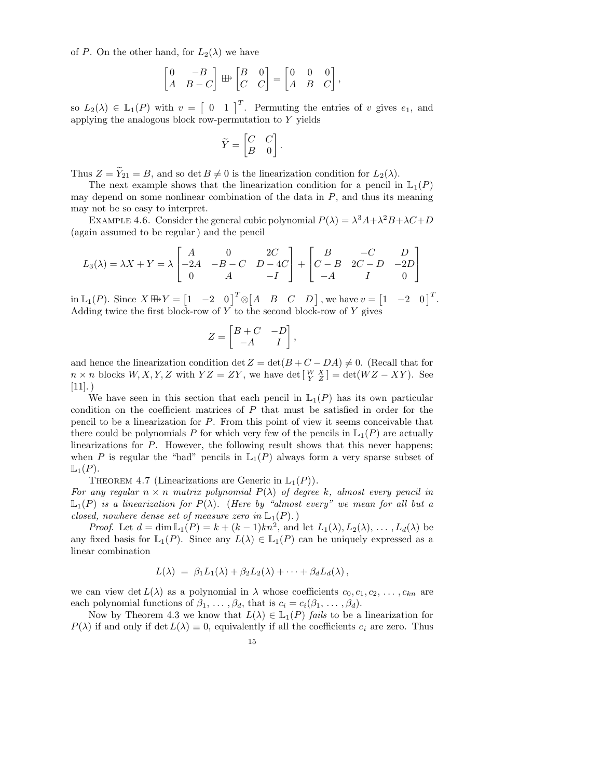of P. On the other hand, for  $L_2(\lambda)$  we have

$$
\begin{bmatrix} 0 & -B \\ A & B - C \end{bmatrix} \boxplus \begin{bmatrix} B & 0 \\ C & C \end{bmatrix} = \begin{bmatrix} 0 & 0 & 0 \\ A & B & C \end{bmatrix},
$$

so  $L_2(\lambda) \in \mathbb{L}_1(P)$  with  $v = \begin{bmatrix} 0 & 1 \end{bmatrix}^T$ . Permuting the entries of v gives  $e_1$ , and applying the analogous block row-permutation to Y yields

$$
\widetilde{Y} = \begin{bmatrix} C & C \\ B & 0 \end{bmatrix}.
$$

Thus  $Z = \widetilde{Y}_{21} = B$ , and so det  $B \neq 0$  is the linearization condition for  $L_2(\lambda)$ .

The next example shows that the linearization condition for a pencil in  $\mathbb{L}_1(P)$ may depend on some nonlinear combination of the data in  $P$ , and thus its meaning may not be so easy to interpret.

EXAMPLE 4.6. Consider the general cubic polynomial  $P(\lambda) = \lambda^3 A + \lambda^2 B + \lambda C + D$ (again assumed to be regular) and the pencil

$$
L_3(\lambda) = \lambda X + Y = \lambda \begin{bmatrix} A & 0 & 2C \\ -2A & -B - C & D - 4C \\ 0 & A & -I \end{bmatrix} + \begin{bmatrix} B & -C & D \\ C - B & 2C - D & -2D \\ -A & I & 0 \end{bmatrix}
$$

 $\text{in } L_1(P)$ . Since  $X \boxplus Y = \begin{bmatrix} 1 & -2 & 0 \end{bmatrix}^T \otimes \begin{bmatrix} A & B & C & D \end{bmatrix}$ , we have  $v = \begin{bmatrix} 1 & -2 & 0 \end{bmatrix}^T$ . Adding twice the first block-row of  $Y$  to the second block-row of  $Y$  gives

$$
Z = \begin{bmatrix} B+C & -D \\ -A & I \end{bmatrix},
$$

and hence the linearization condition det  $Z = det(B + C - DA) \neq 0$ . (Recall that for  $n \times n$  blocks  $W, X, Y, Z$  with  $YZ = ZY$ , we have det  $\begin{bmatrix} W & X \\ Y & Z \end{bmatrix} = \det(WZ - XY)$ . See  $[11]$ .)

We have seen in this section that each pencil in  $\mathbb{L}_1(P)$  has its own particular condition on the coefficient matrices of  $P$  that must be satisfied in order for the pencil to be a linearization for P. From this point of view it seems conceivable that there could be polynomials P for which very few of the pencils in  $\mathbb{L}_1(P)$  are actually linearizations for P. However, the following result shows that this never happens; when P is regular the "bad" pencils in  $\mathbb{L}_1(P)$  always form a very sparse subset of  $\mathbb{L}_1(P)$ .

THEOREM 4.7 (Linearizations are Generic in  $\mathbb{L}_1(P)$ ).

For any regular  $n \times n$  matrix polynomial  $P(\lambda)$  of degree k, almost every pencil in  $\mathbb{L}_1(P)$  is a linearization for  $P(\lambda)$ . (Here by "almost every" we mean for all but a closed, nowhere dense set of measure zero in  $\mathbb{L}_1(P)$ .)

*Proof.* Let  $d = \dim \mathbb{L}_1(P) = k + (k-1)kn^2$ , and let  $L_1(\lambda), L_2(\lambda), \ldots, L_d(\lambda)$  be any fixed basis for  $\mathbb{L}_1(P)$ . Since any  $L(\lambda) \in \mathbb{L}_1(P)$  can be uniquely expressed as a linear combination

$$
L(\lambda) = \beta_1 L_1(\lambda) + \beta_2 L_2(\lambda) + \cdots + \beta_d L_d(\lambda),
$$

we can view det  $L(\lambda)$  as a polynomial in  $\lambda$  whose coefficients  $c_0, c_1, c_2, \ldots, c_{kn}$  are each polynomial functions of  $\beta_1, \ldots, \beta_d$ , that is  $c_i = c_i(\beta_1, \ldots, \beta_d)$ .

Now by Theorem 4.3 we know that  $L(\lambda) \in \mathbb{L}_1(P)$  fails to be a linearization for  $P(\lambda)$  if and only if det  $L(\lambda) \equiv 0$ , equivalently if all the coefficients  $c_i$  are zero. Thus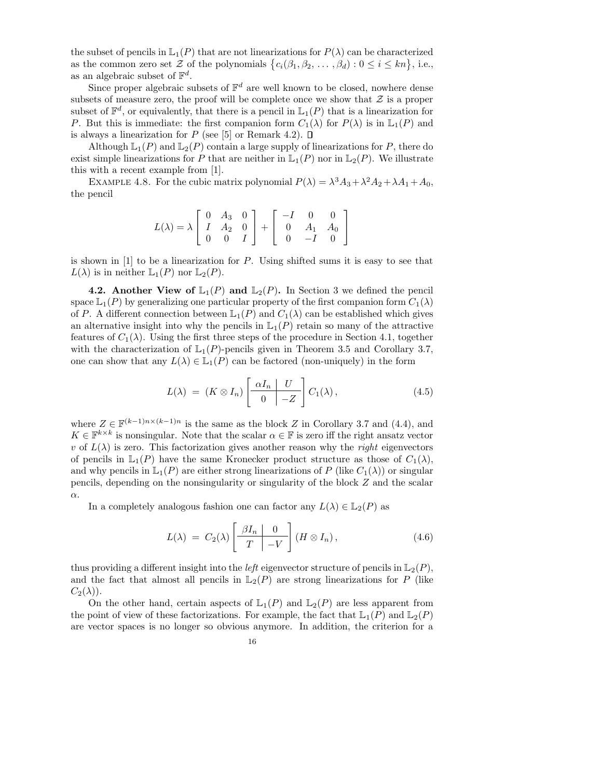the subset of pencils in  $\mathbb{L}_1(P)$  that are not linearizations for  $P(\lambda)$  can be characterized as the common zero set  $\mathcal{Z}$  of the polynomials  $\{c_i(\beta_1,\beta_2,\ldots,\beta_d): 0 \leq i \leq kn\}$ , i.e., as an algebraic subset of  $\mathbb{F}^d$ .

Since proper algebraic subsets of  $\mathbb{F}^d$  are well known to be closed, nowhere dense subsets of measure zero, the proof will be complete once we show that  $\mathcal Z$  is a proper subset of  $\mathbb{F}^d$ , or equivalently, that there is a pencil in  $\mathbb{L}_1(P)$  that is a linearization for P. But this is immediate: the first companion form  $C_1(\lambda)$  for  $P(\lambda)$  is in  $\mathbb{L}_1(P)$  and is always a linearization for P (see [5] or Remark 4.2).  $\square$ 

Although  $\mathbb{L}_1(P)$  and  $\mathbb{L}_2(P)$  contain a large supply of linearizations for P, there do exist simple linearizations for P that are neither in  $\mathbb{L}_1(P)$  nor in  $\mathbb{L}_2(P)$ . We illustrate this with a recent example from [1].

EXAMPLE 4.8. For the cubic matrix polynomial  $P(\lambda) = \lambda^3 A_3 + \lambda^2 A_2 + \lambda A_1 + A_0$ , the pencil

$$
L(\lambda) = \lambda \begin{bmatrix} 0 & A_3 & 0 \\ I & A_2 & 0 \\ 0 & 0 & I \end{bmatrix} + \begin{bmatrix} -I & 0 & 0 \\ 0 & A_1 & A_0 \\ 0 & -I & 0 \end{bmatrix}
$$

is shown in [1] to be a linearization for P. Using shifted sums it is easy to see that  $L(\lambda)$  is in neither  $\mathbb{L}_1(P)$  nor  $\mathbb{L}_2(P)$ .

4.2. Another View of  $\mathbb{L}_1(P)$  and  $\mathbb{L}_2(P)$ . In Section 3 we defined the pencil space  $\mathbb{L}_1(P)$  by generalizing one particular property of the first companion form  $C_1(\lambda)$ of P. A different connection between  $\mathbb{L}_1(P)$  and  $C_1(\lambda)$  can be established which gives an alternative insight into why the pencils in  $\mathbb{L}_1(P)$  retain so many of the attractive features of  $C_1(\lambda)$ . Using the first three steps of the procedure in Section 4.1, together with the characterization of  $\mathbb{L}_1(P)$ -pencils given in Theorem 3.5 and Corollary 3.7, one can show that any  $L(\lambda) \in \mathbb{L}_1(P)$  can be factored (non-uniquely) in the form

$$
L(\lambda) = (K \otimes I_n) \left[ \begin{array}{c|c} \alpha I_n & U \\ \hline 0 & -Z \end{array} \right] C_1(\lambda), \tag{4.5}
$$

where  $Z \in \mathbb{F}^{(k-1)n \times (k-1)n}$  is the same as the block Z in Corollary 3.7 and (4.4), and  $K \in \mathbb{F}^{k \times k}$  is nonsingular. Note that the scalar  $\alpha \in \mathbb{F}$  is zero iff the right ansatz vector v of  $L(\lambda)$  is zero. This factorization gives another reason why the right eigenvectors of pencils in  $\mathbb{L}_1(P)$  have the same Kronecker product structure as those of  $C_1(\lambda)$ , and why pencils in  $\mathbb{L}_1(P)$  are either strong linearizations of P (like  $C_1(\lambda)$ ) or singular pencils, depending on the nonsingularity or singularity of the block Z and the scalar α.

In a completely analogous fashion one can factor any  $L(\lambda) \in \mathbb{L}_2(P)$  as

$$
L(\lambda) = C_2(\lambda) \left[ \begin{array}{c|c} \beta I_n & 0 \\ \hline T & -V \end{array} \right] (H \otimes I_n), \qquad (4.6)
$$

thus providing a different insight into the *left* eigenvector structure of pencils in  $\mathbb{L}_2(P)$ , and the fact that almost all pencils in  $\mathbb{L}_2(P)$  are strong linearizations for P (like  $C_2(\lambda)$ ).

On the other hand, certain aspects of  $\mathbb{L}_1(P)$  and  $\mathbb{L}_2(P)$  are less apparent from the point of view of these factorizations. For example, the fact that  $\mathbb{L}_1(P)$  and  $\mathbb{L}_2(P)$ are vector spaces is no longer so obvious anymore. In addition, the criterion for a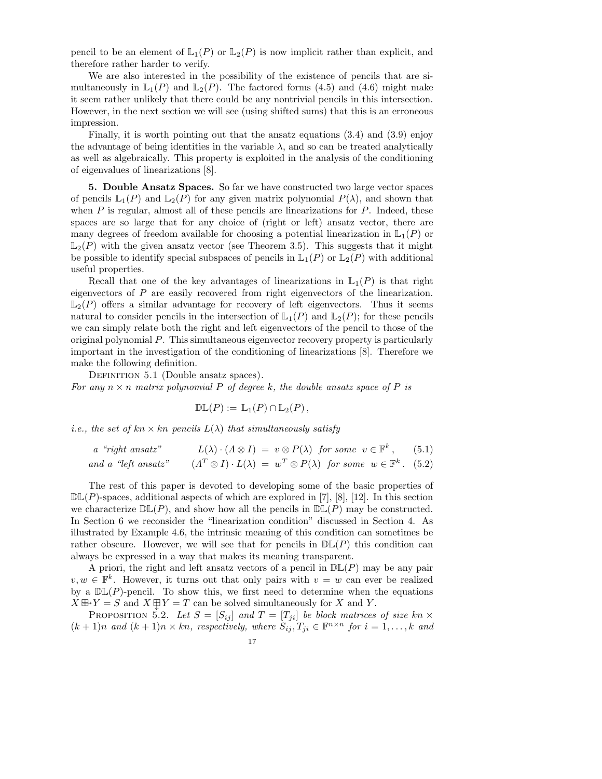pencil to be an element of  $\mathbb{L}_1(P)$  or  $\mathbb{L}_2(P)$  is now implicit rather than explicit, and therefore rather harder to verify.

We are also interested in the possibility of the existence of pencils that are simultaneously in  $\mathbb{L}_1(P)$  and  $\mathbb{L}_2(P)$ . The factored forms (4.5) and (4.6) might make it seem rather unlikely that there could be any nontrivial pencils in this intersection. However, in the next section we will see (using shifted sums) that this is an erroneous impression.

Finally, it is worth pointing out that the ansatz equations  $(3.4)$  and  $(3.9)$  enjoy the advantage of being identities in the variable  $\lambda$ , and so can be treated analytically as well as algebraically. This property is exploited in the analysis of the conditioning of eigenvalues of linearizations [8].

5. Double Ansatz Spaces. So far we have constructed two large vector spaces of pencils  $\mathbb{L}_1(P)$  and  $\mathbb{L}_2(P)$  for any given matrix polynomial  $P(\lambda)$ , and shown that when  $P$  is regular, almost all of these pencils are linearizations for  $P$ . Indeed, these spaces are so large that for any choice of (right or left) ansatz vector, there are many degrees of freedom available for choosing a potential linearization in  $\mathbb{L}_1(P)$  or  $\mathbb{L}_2(P)$  with the given ansatz vector (see Theorem 3.5). This suggests that it might be possible to identify special subspaces of pencils in  $\mathbb{L}_1(P)$  or  $\mathbb{L}_2(P)$  with additional useful properties.

Recall that one of the key advantages of linearizations in  $\mathbb{L}_1(P)$  is that right eigenvectors of P are easily recovered from right eigenvectors of the linearization.  $\mathbb{L}_2(P)$  offers a similar advantage for recovery of left eigenvectors. Thus it seems natural to consider pencils in the intersection of  $\mathbb{L}_1(P)$  and  $\mathbb{L}_2(P)$ ; for these pencils we can simply relate both the right and left eigenvectors of the pencil to those of the original polynomial  $P$ . This simultaneous eigenvector recovery property is particularly important in the investigation of the conditioning of linearizations [8]. Therefore we make the following definition.

DEFINITION 5.1 (Double ansatz spaces). For any  $n \times n$  matrix polynomial P of degree k, the double ansatz space of P is

$$
\mathbb{DL}(P) := \mathbb{L}_1(P) \cap \mathbb{L}_2(P),
$$

*i.e.*, the set of  $kn \times kn$  pencils  $L(\lambda)$  that simultaneously satisfy

a "right ansatz" 
$$
L(\lambda) \cdot (\Lambda \otimes I) = v \otimes P(\lambda)
$$
 for some  $v \in \mathbb{F}^k$ , (5.1)  
and a "left ansatz"  $(\Lambda^T \otimes I) \cdot L(\lambda) = w^T \otimes P(\lambda)$  for some  $w \in \mathbb{F}^k$ . (5.2)

The rest of this paper is devoted to developing some of the basic properties of  $D\mathbb{L}(P)$ -spaces, additional aspects of which are explored in [7], [8], [12]. In this section we characterize  $D\mathbb{L}(P)$ , and show how all the pencils in  $D\mathbb{L}(P)$  may be constructed. In Section 6 we reconsider the "linearization condition" discussed in Section 4. As illustrated by Example 4.6, the intrinsic meaning of this condition can sometimes be rather obscure. However, we will see that for pencils in  $D\mathbb{L}(P)$  this condition can always be expressed in a way that makes its meaning transparent.

A priori, the right and left ansatz vectors of a pencil in  $D\mathbb{L}(P)$  may be any pair  $v, w \in \mathbb{F}^k$ . However, it turns out that only pairs with  $v = w$  can ever be realized by a  $\mathbb{DL}(P)$ -pencil. To show this, we first need to determine when the equations  $X \boxplus Y = S$  and  $X \boxplus Y = T$  can be solved simultaneously for X and Y.

PROPOSITION 5.2. Let  $S = [S_{ij}]$  and  $T = [T_{ji}]$  be block matrices of size kn  $\times$  $(k+1)n$  and  $(k+1)n \times kn$ , respectively, where  $S_{ij}, T_{ji} \in \mathbb{F}^{n \times n}$  for  $i = 1, ..., k$  and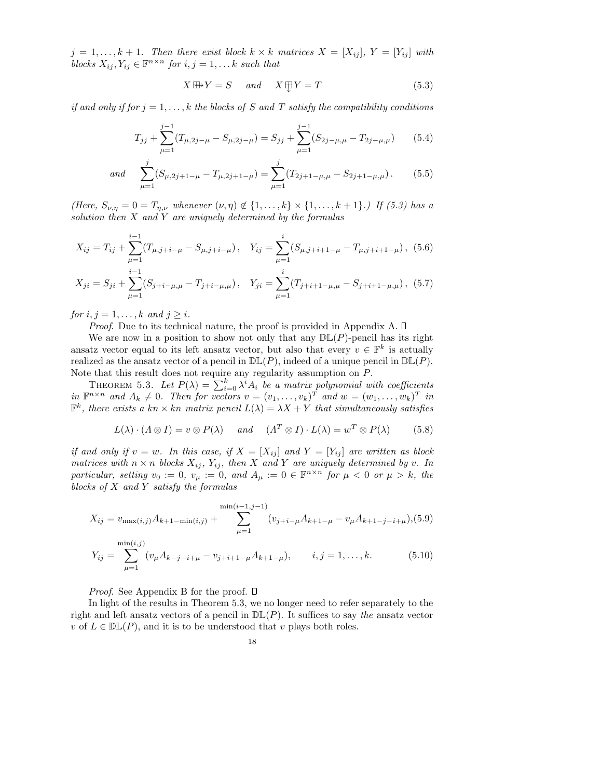$j = 1, \ldots, k + 1$ . Then there exist block  $k \times k$  matrices  $X = [X_{ij}]$ ,  $Y = [Y_{ij}]$  with blocks  $X_{ij}, Y_{ij} \in \mathbb{F}^{n \times n}$  for  $i, j = 1, \ldots k$  such that

$$
X \boxplus Y = S \quad and \quad X \boxplus Y = T \tag{5.3}
$$

if and only if for  $j = 1, \ldots, k$  the blocks of S and T satisfy the compatibility conditions

$$
T_{jj} + \sum_{\mu=1}^{j-1} (T_{\mu,2j-\mu} - S_{\mu,2j-\mu}) = S_{jj} + \sum_{\mu=1}^{j-1} (S_{2j-\mu,\mu} - T_{2j-\mu,\mu}) \qquad (5.4)
$$

and 
$$
\sum_{\mu=1}^{j} (S_{\mu,2j+1-\mu} - T_{\mu,2j+1-\mu}) = \sum_{\mu=1}^{j} (T_{2j+1-\mu,\mu} - S_{2j+1-\mu,\mu}).
$$
 (5.5)

(Here,  $S_{\nu,\eta} = 0 = T_{\eta,\nu}$  whenever  $(\nu,\eta) \notin \{1,\ldots,k\} \times \{1,\ldots,k+1\}$ .) If (5.3) has a solution then  $X$  and  $Y$  are uniquely determined by the formulas

$$
X_{ij} = T_{ij} + \sum_{\mu=1}^{i-1} (T_{\mu,j+i-\mu} - S_{\mu,j+i-\mu}), \quad Y_{ij} = \sum_{\mu=1}^{i} (S_{\mu,j+i+1-\mu} - T_{\mu,j+i+1-\mu}), \tag{5.6}
$$

$$
X_{ji} = S_{ji} + \sum_{\mu=1}^{i-1} (S_{j+i-\mu,\mu} - T_{j+i-\mu,\mu}), \quad Y_{ji} = \sum_{\mu=1}^{i} (T_{j+i+1-\mu,\mu} - S_{j+i+1-\mu,\mu}), \tag{5.7}
$$

for  $i, j = 1, \ldots, k$  and  $j \geq i$ .

*Proof.* Due to its technical nature, the proof is provided in Appendix A.  $\Box$ 

We are now in a position to show not only that any  $D\mathbb{L}(P)$ -pencil has its right ansatz vector equal to its left ansatz vector, but also that every  $v \in \mathbb{F}^k$  is actually realized as the ansatz vector of a pencil in  $D\mathbb{L}(P)$ , indeed of a unique pencil in  $D\mathbb{L}(P)$ . Note that this result does not require any regularity assumption on P.

THEOREM 5.3. Let  $P(\lambda) = \sum_{i=0}^{k} \lambda^{i} A_i$  be a matrix polynomial with coefficients in  $\mathbb{F}^{n \times n}$  and  $A_k \neq 0$ . Then for vectors  $v = (v_1, \ldots, v_k)^T$  and  $w = (w_1, \ldots, w_k)^T$  in  $\mathbb{F}^k$ , there exists a kn  $\times$  kn matrix pencil  $L(\lambda) = \lambda X + Y$  that simultaneously satisfies

$$
L(\lambda) \cdot (A \otimes I) = v \otimes P(\lambda) \quad \text{and} \quad (A^T \otimes I) \cdot L(\lambda) = w^T \otimes P(\lambda) \tag{5.8}
$$

if and only if  $v = w$ . In this case, if  $X = [X_{ij}]$  and  $Y = [Y_{ij}]$  are written as block matrices with  $n \times n$  blocks  $X_{ij}$ ,  $Y_{ij}$ , then X and Y are uniquely determined by v. In particular, setting  $v_0 := 0$ ,  $v_\mu := 0$ , and  $A_\mu := 0 \in \mathbb{F}^{n \times n}$  for  $\mu < 0$  or  $\mu > k$ , the blocks of  $X$  and  $Y$  satisfy the formulas

$$
X_{ij} = v_{\max(i,j)} A_{k+1-\min(i,j)} + \sum_{\mu=1}^{\min(i-1,j-1)} (v_{j+i-\mu} A_{k+1-\mu} - v_{\mu} A_{k+1-j-i+\mu}), (5.9)
$$

$$
Y_{ij} = \sum_{\mu=1}^{\min(i,j)} (v_{\mu} A_{k-j-i+\mu} - v_{j+i+1-\mu} A_{k+1-\mu}), \qquad i, j = 1, \dots, k.
$$
 (5.10)

*Proof.* See Appendix B for the proof.  $\square$ 

In light of the results in Theorem 5.3, we no longer need to refer separately to the right and left ansatz vectors of a pencil in  $\mathbb{DL}(P)$ . It suffices to say the ansatz vector v of  $L \in \mathbb{DL}(P)$ , and it is to be understood that v plays both roles.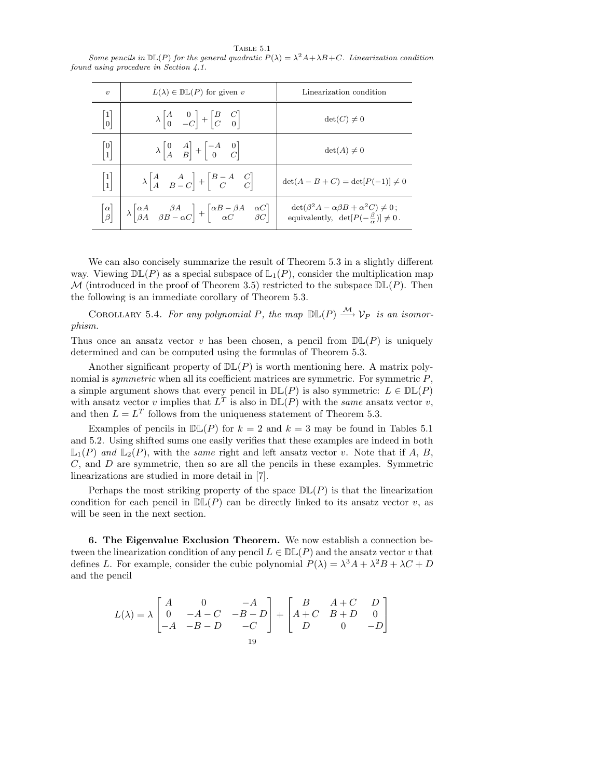TABLE  $5.1$ 

Some pencils in  $\mathbb{DL}(P)$  for the general quadratic  $P(\lambda) = \lambda^2 A + \lambda B + C$ . Linearization condition found using procedure in Section 4.1.

| $\boldsymbol{\eta}$                    | $L(\lambda) \in \mathbb{DL}(P)$ for given v                                                                                                                                                                                        | Linearization condition                                                                                             |
|----------------------------------------|------------------------------------------------------------------------------------------------------------------------------------------------------------------------------------------------------------------------------------|---------------------------------------------------------------------------------------------------------------------|
| $\begin{bmatrix} 1 \\ 0 \end{bmatrix}$ | $\lambda \begin{vmatrix} A & 0 \\ 0 & -C \end{vmatrix} + \begin{vmatrix} B & C \\ C & 0 \end{vmatrix}$                                                                                                                             | $\det(C) \neq 0$                                                                                                    |
| $\begin{bmatrix} 0 \\ 1 \end{bmatrix}$ | $\lambda \begin{vmatrix} 0 & A \\ A & B \end{vmatrix} + \begin{vmatrix} -A & 0 \\ 0 & C \end{vmatrix}$                                                                                                                             | $\det(A) \neq 0$                                                                                                    |
| $\left  \frac{1}{1} \right $           | $\lambda \begin{vmatrix} A & A \\ A & B - C \end{vmatrix} + \begin{vmatrix} B - A & C \\ C & C \end{vmatrix}$                                                                                                                      | $\det(A - B + C) = \det[P(-1)] \neq 0$                                                                              |
|                                        | $\begin{vmatrix} \alpha \\ \beta \end{vmatrix}$ $\begin{vmatrix} \lambda & \alpha A & \beta A \\ \beta A & \beta B - \alpha C \end{vmatrix}$ + $\begin{vmatrix} \alpha B - \beta A & \alpha C \\ \alpha C & \beta C \end{vmatrix}$ | $\det(\beta^2 A - \alpha \beta B + \alpha^2 C) \neq 0$ ;<br>equivalently, $\det[P(-\frac{\beta}{\alpha})] \neq 0$ . |

We can also concisely summarize the result of Theorem 5.3 in a slightly different way. Viewing  $D\mathbb{L}(P)$  as a special subspace of  $\mathbb{L}_1(P)$ , consider the multiplication map M (introduced in the proof of Theorem 3.5) restricted to the subspace  $\mathbb{DL}(P)$ . Then the following is an immediate corollary of Theorem 5.3.

COROLLARY 5.4. For any polynomial P, the map  $\mathbb{DL}(P) \stackrel{\mathcal{M}}{\longrightarrow} \mathcal{V}_P$  is an isomorphism.

Thus once an ansatz vector v has been chosen, a pencil from  $D\mathbb{L}(P)$  is uniquely determined and can be computed using the formulas of Theorem 5.3.

Another significant property of  $D\mathbb{L}(P)$  is worth mentioning here. A matrix polynomial is *symmetric* when all its coefficient matrices are symmetric. For symmetric  $P$ , a simple argument shows that every pencil in  $D\mathbb{L}(P)$  is also symmetric:  $L \in D\mathbb{L}(P)$ with ansatz vector v implies that  $L^T$  is also in  $\mathbb{DL}(P)$  with the same ansatz vector v, and then  $L = L<sup>T</sup>$  follows from the uniqueness statement of Theorem 5.3.

Examples of pencils in  $\mathbb{DL}(P)$  for  $k = 2$  and  $k = 3$  may be found in Tables 5.1 and 5.2. Using shifted sums one easily verifies that these examples are indeed in both  $\mathbb{L}_1(P)$  and  $\mathbb{L}_2(P)$ , with the same right and left ansatz vector v. Note that if A, B,  $C$ , and  $D$  are symmetric, then so are all the pencils in these examples. Symmetric linearizations are studied in more detail in [7].

Perhaps the most striking property of the space  $\mathbb{DL}(P)$  is that the linearization condition for each pencil in  $D\mathbb{L}(P)$  can be directly linked to its ansatz vector v, as will be seen in the next section.

6. The Eigenvalue Exclusion Theorem. We now establish a connection between the linearization condition of any pencil  $L \in \mathbb{DL}(P)$  and the ansatz vector v that defines L. For example, consider the cubic polynomial  $P(\lambda) = \lambda^3 A + \lambda^2 B + \lambda C + D$ and the pencil

$$
L(\lambda) = \lambda \begin{bmatrix} A & 0 & -A \\ 0 & -A-C & -B-D \\ -A & -B-D & -C \end{bmatrix} + \begin{bmatrix} B & A+C & D \\ A+C & B+D & 0 \\ D & 0 & -D \end{bmatrix}
$$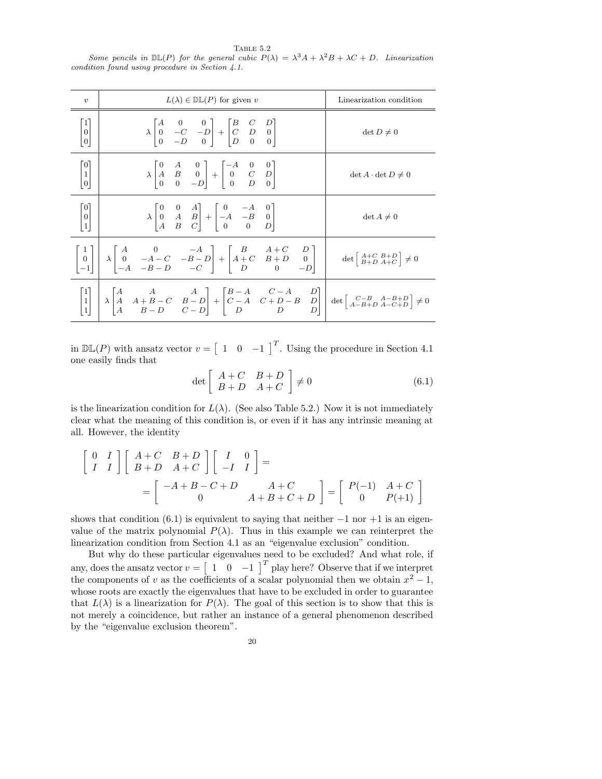TABLE  $5.2$ Some pencils in  $\mathbb{DL}(P)$  for the general cubic  $P(\lambda) = \lambda^3 A + \lambda^2 B + \lambda C + D$ . Linearization condition found using procedure in Section 4.1.

| $\boldsymbol{v}$                            | $L(\lambda) \in \mathbb{DL}(P)$ for given v                                                                                                        | Linearization condition      |
|---------------------------------------------|----------------------------------------------------------------------------------------------------------------------------------------------------|------------------------------|
| $\begin{bmatrix} 1 \ 0 \ 0 \end{bmatrix}$   | $\lambda \begin{bmatrix} 1 & 0 & 0 \\ 0 & -C & -D \\ 0 & -D & 0 \end{bmatrix} + \begin{bmatrix} 1 & 0 & 0 \\ C & D & 0 \\ D & 0 & 0 \end{bmatrix}$ | $\det D \neq 0$              |
| $\begin{bmatrix} 0 \\ 1 \\ 0 \end{bmatrix}$ | $\lambda \begin{bmatrix} 0 & A & 0 \\ A & B & 0 \\ 0 & 0 & -D \end{bmatrix} + \begin{bmatrix} -A & 0 & 0 \\ 0 & C & D \\ 0 & D & 0 \end{bmatrix}$  | $\det A \cdot \det D \neq 0$ |
| $\begin{bmatrix} 0 \\ 0 \\ 1 \end{bmatrix}$ | $\lambda \begin{bmatrix} 0 & 0 & A \\ 0 & A & B \\ A & B & C \end{bmatrix} + \begin{bmatrix} 0 & -A & 0 \\ -A & -B & 0 \\ 0 & 0 & D \end{bmatrix}$ | $\det A \neq 0$              |
|                                             |                                                                                                                                                    |                              |
|                                             |                                                                                                                                                    |                              |

in  $\mathbb{DL}(P)$  with ansatz vector  $v = \begin{bmatrix} 1 & 0 & -1 \end{bmatrix}^T$ . Using the procedure in Section 4.1 one easily finds that

$$
\det \left[ \begin{array}{cc} A+C & B+D \\ B+D & A+C \end{array} \right] \neq 0 \tag{6.1}
$$

is the linearization condition for  $L(\lambda)$ . (See also Table 5.2.) Now it is not immediately clear what the meaning of this condition is, or even if it has any intrinsic meaning at all. However, the identity

$$
\begin{bmatrix}\n0 & I \\
I & I\n\end{bmatrix}\n\begin{bmatrix}\nA+C & B+D \\
B+D & A+C\n\end{bmatrix}\n\begin{bmatrix}\nI & 0 \\
-I & I\n\end{bmatrix} =\n=\n\begin{bmatrix}\n-A+B-C+D & A+C \\
0 & A+B+C+D\n\end{bmatrix}\n=\n\begin{bmatrix}\nP(-1) & A+C \\
0 & P(+1)\n\end{bmatrix}
$$

shows that condition  $(6.1)$  is equivalent to saying that neither  $-1$  nor  $+1$  is an eigenvalue of the matrix polynomial  $P(\lambda)$ . Thus in this example we can reinterpret the linearization condition from Section 4.1 as an "eigenvalue exclusion" condition.

But why do these particular eigenvalues need to be excluded? And what role, if any, does the ansatz vector  $v = \begin{bmatrix} 1 & 0 & -1 \end{bmatrix}^T$  play here? Observe that if we interpret the components of v as the coefficients of a scalar polynomial then we obtain  $x^2 - 1$ , whose roots are exactly the eigenvalues that have to be excluded in order to guarantee that  $L(\lambda)$  is a linearization for  $P(\lambda)$ . The goal of this section is to show that this is not merely a coincidence, but rather an instance of a general phenomenon described by the "eigenvalue exclusion theorem".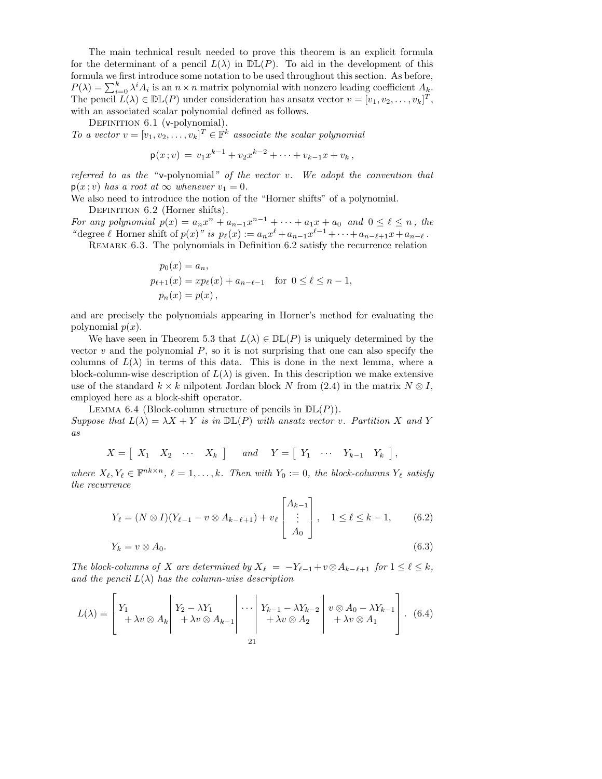The main technical result needed to prove this theorem is an explicit formula for the determinant of a pencil  $L(\lambda)$  in  $\mathbb{DL}(P)$ . To aid in the development of this formula we first introduce some notation to be used throughout this section. As before,  $P(\lambda) = \sum_{i=0}^{k} \lambda^{i} A_{i}$  is an  $n \times n$  matrix polynomial with nonzero leading coefficient  $A_{k}$ . The pencil  $L(\lambda) \in \mathbb{DL}(P)$  under consideration has ansatz vector  $v = [v_1, v_2, \dots, v_k]^T$ , with an associated scalar polynomial defined as follows.

DEFINITION 6.1 (v-polynomial).

To a vector  $v = [v_1, v_2, \dots, v_k]^T \in \mathbb{F}^k$  associate the scalar polynomial

$$
\mathsf{p}(x\,;v)\,=\,v_1x^{k-1}+v_2x^{k-2}+\cdots+v_{k-1}x+v_k\,,
$$

referred to as the "v-polynomial" of the vector v. We adopt the convention that  $p(x; v)$  has a root at  $\infty$  whenever  $v_1 = 0$ .

We also need to introduce the notion of the "Horner shifts" of a polynomial. DEFINITION 6.2 (Horner shifts).

For any polynomial  $p(x) = a_n x^n + a_{n-1} x^{n-1} + \cdots + a_1 x + a_0$  and  $0 \le \ell \le n$ , the " degree  $\ell$  Horner shift of  $p(x)$ " is  $p_{\ell}(x) := a_n x^{\ell} + a_{n-1}x^{\ell-1} + \cdots + a_{n-\ell+1}x + a_{n-\ell}$ .

REMARK 6.3. The polynomials in Definition 6.2 satisfy the recurrence relation

$$
p_0(x) = a_n,
$$
  
\n
$$
p_{\ell+1}(x) = xp_{\ell}(x) + a_{n-\ell-1} \text{ for } 0 \le \ell \le n-1,
$$
  
\n
$$
p_n(x) = p(x),
$$

and are precisely the polynomials appearing in Horner's method for evaluating the polynomial  $p(x)$ .

We have seen in Theorem 5.3 that  $L(\lambda) \in \mathbb{DL}(P)$  is uniquely determined by the vector  $v$  and the polynomial  $P$ , so it is not surprising that one can also specify the columns of  $L(\lambda)$  in terms of this data. This is done in the next lemma, where a block-column-wise description of  $L(\lambda)$  is given. In this description we make extensive use of the standard  $k \times k$  nilpotent Jordan block N from (2.4) in the matrix  $N \otimes I$ , employed here as a block-shift operator.

LEMMA 6.4 (Block-column structure of pencils in  $D\mathbb{L}(P)$ ). Suppose that  $L(\lambda) = \lambda X + Y$  is in  $D\mathbb{L}(P)$  with ansatz vector v. Partition X and Y as

$$
X = \left[ \begin{array}{cccc} X_1 & X_2 & \cdots & X_k \end{array} \right] \quad \text{and} \quad Y = \left[ \begin{array}{cccc} Y_1 & \cdots & Y_{k-1} & Y_k \end{array} \right],
$$

where  $X_{\ell}, Y_{\ell} \in \mathbb{F}^{nk \times n}$ ,  $\ell = 1, ..., k$ . Then with  $Y_0 := 0$ , the block-columns  $Y_{\ell}$  satisfy the recurrence

$$
Y_{\ell} = (N \otimes I)(Y_{\ell-1} - v \otimes A_{k-\ell+1}) + v_{\ell} \begin{bmatrix} A_{k-1} \\ \vdots \\ A_0 \end{bmatrix}, \quad 1 \leq \ell \leq k-1, \qquad (6.2)
$$

$$
Y_k = v \otimes A_0. \tag{6.3}
$$

The block-columns of X are determined by  $X_\ell = -Y_{\ell-1} + v \otimes A_{k-\ell+1}$  for  $1 \leq \ell \leq k$ , and the pencil  $L(\lambda)$  has the column-wise description

$$
L(\lambda) = \begin{bmatrix} Y_1 & Y_2 - \lambda Y_1 & \lambda v \otimes A_k & \lambda v \end{bmatrix} + \lambda v \otimes A_{k-1} \begin{bmatrix} Y_{k-1} - \lambda Y_{k-2} & v \otimes A_0 - \lambda Y_{k-1} \\ + \lambda v \otimes A_2 & \lambda v \otimes A_1 \end{bmatrix} . \tag{6.4}
$$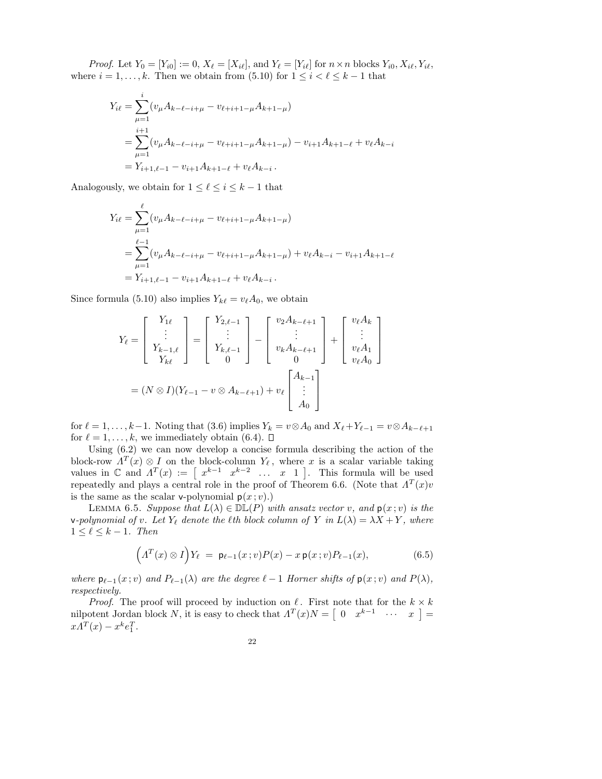*Proof.* Let  $Y_0 = [Y_{i0}] := 0$ ,  $X_{\ell} = [X_{i\ell}]$ , and  $Y_{\ell} = [Y_{i\ell}]$  for  $n \times n$  blocks  $Y_{i0}, X_{i\ell}, Y_{i\ell}$ , where  $i = 1, ..., k$ . Then we obtain from (5.10) for  $1 \leq i < \ell \leq k - 1$  that

$$
Y_{i\ell} = \sum_{\mu=1}^{i} (v_{\mu}A_{k-\ell-i+\mu} - v_{\ell+i+1-\mu}A_{k+1-\mu})
$$
  
= 
$$
\sum_{\mu=1}^{i+1} (v_{\mu}A_{k-\ell-i+\mu} - v_{\ell+i+1-\mu}A_{k+1-\mu}) - v_{i+1}A_{k+1-\ell} + v_{\ell}A_{k-i}
$$
  
= 
$$
Y_{i+1,\ell-1} - v_{i+1}A_{k+1-\ell} + v_{\ell}A_{k-i}.
$$

Analogously, we obtain for  $1 \leq \ell \leq i \leq k - 1$  that

$$
Y_{i\ell} = \sum_{\mu=1}^{\ell} (v_{\mu} A_{k-\ell-i+\mu} - v_{\ell+i+1-\mu} A_{k+1-\mu})
$$
  
= 
$$
\sum_{\mu=1}^{\ell-1} (v_{\mu} A_{k-\ell-i+\mu} - v_{\ell+i+1-\mu} A_{k+1-\mu}) + v_{\ell} A_{k-i} - v_{i+1} A_{k+1-\ell}
$$
  
= 
$$
Y_{i+1,\ell-1} - v_{i+1} A_{k+1-\ell} + v_{\ell} A_{k-i}.
$$

Since formula (5.10) also implies  $Y_{k\ell} = v_{\ell}A_0$ , we obtain

$$
Y_{\ell} = \begin{bmatrix} Y_{1\ell} \\ \vdots \\ Y_{k-1,\ell} \\ Y_{k\ell} \end{bmatrix} = \begin{bmatrix} Y_{2,\ell-1} \\ \vdots \\ Y_{k,\ell-1} \\ 0 \end{bmatrix} - \begin{bmatrix} v_2 A_{k-\ell+1} \\ \vdots \\ v_k A_{k-\ell+1} \\ 0 \end{bmatrix} + \begin{bmatrix} v_{\ell} A_k \\ \vdots \\ v_{\ell} A_1 \\ v_{\ell} A_0 \end{bmatrix}
$$

$$
= (N \otimes I)(Y_{\ell-1} - v \otimes A_{k-\ell+1}) + v_{\ell} \begin{bmatrix} A_{k-1} \\ \vdots \\ A_0 \end{bmatrix}
$$

for  $\ell = 1, \ldots, k-1$ . Noting that (3.6) implies  $Y_k = v \otimes A_0$  and  $X_{\ell} + Y_{\ell-1} = v \otimes A_{k-\ell+1}$ for  $\ell = 1, \ldots, k$ , we immediately obtain (6.4).  $\Box$ 

Using (6.2) we can now develop a concise formula describing the action of the block-row  $\Lambda^T(x) \otimes I$  on the block-column  $Y_{\ell}$ , where x is a scalar variable taking values in  $\mathbb C$  and  $\Lambda^T(x) := \begin{bmatrix} x^{k-1} & x^{k-2} & \dots & x & 1 \end{bmatrix}$ . This formula will be used repeatedly and plays a central role in the proof of Theorem 6.6. (Note that  $\Lambda^T(x)v$ is the same as the scalar v-polynomial  $p(x; v)$ .)

LEMMA 6.5. Suppose that  $L(\lambda) \in \mathbb{DL}(P)$  with ansatz vector v, and  $p(x; v)$  is the v-polynomial of v. Let  $Y_\ell$  denote the  $\ell$ th block column of Y in  $L(\lambda) = \lambda X + Y$ , where  $1 \leq \ell \leq k - 1$ . Then

$$
\left(\Lambda^T(x)\otimes I\right)Y_{\ell} \ = \ \mathsf{p}_{\ell-1}(x\,;v)P(x) - x\,\mathsf{p}(x\,;v)P_{\ell-1}(x),\tag{6.5}
$$

where  $p_{\ell-1}(x; v)$  and  $P_{\ell-1}(\lambda)$  are the degree  $\ell - 1$  Horner shifts of  $p(x; v)$  and  $P(\lambda)$ , respectively.

*Proof.* The proof will proceed by induction on  $\ell$ . First note that for the  $k \times k$ nilpotent Jordan block N, it is easy to check that  $\Lambda^T(x)N = \begin{bmatrix} 0 & x^{k-1} & \cdots & x \end{bmatrix}$  $x \Lambda^T(x) - x^k e_1^T.$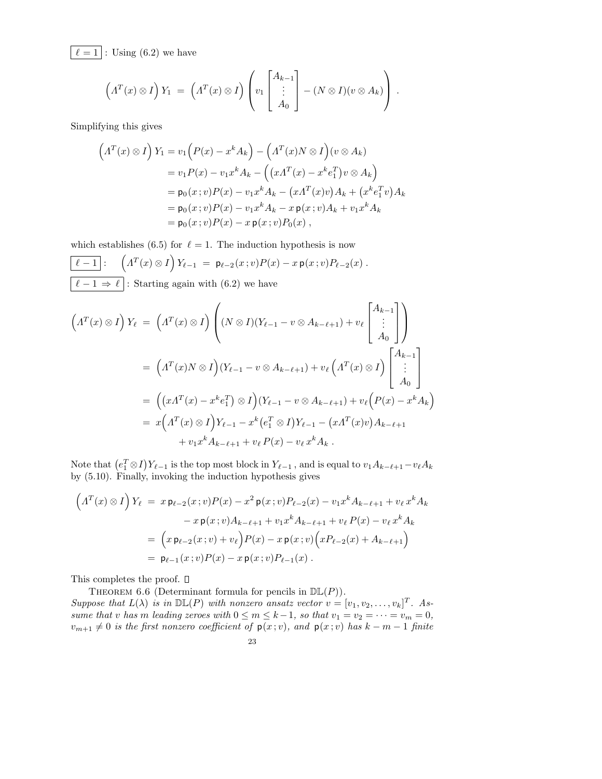$\ell = 1$  : Using (6.2) we have

$$
\left(\Lambda^T(x)\otimes I\right)Y_1\ =\ \left(\Lambda^T(x)\otimes I\right)\left(v_1\begin{bmatrix}A_{k-1}\\ \vdots\\ A_0\end{bmatrix}-(N\otimes I)(v\otimes A_k)\right)\ .
$$

Simplifying this gives

$$
\left(\Lambda^T(x) \otimes I\right) Y_1 = v_1 \left(P(x) - x^k A_k\right) - \left(\Lambda^T(x) N \otimes I\right) (v \otimes A_k)
$$
  
=  $v_1 P(x) - v_1 x^k A_k - \left((x \Lambda^T(x) - x^k e_1^T)v \otimes A_k\right)$   
=  $p_0(x; v) P(x) - v_1 x^k A_k - (x \Lambda^T(x)v) A_k + (x^k e_1^T v) A_k$   
=  $p_0(x; v) P(x) - v_1 x^k A_k - x p(x; v) A_k + v_1 x^k A_k$   
=  $p_0(x; v) P(x) - x p(x; v) P_0(x),$ 

which establishes (6.5) for  $\ell = 1$ . The induction hypothesis is now

$$
\boxed{\ell-1}:\n\begin{pmatrix}\n\Lambda^T(x)\otimes I\n\end{pmatrix}\nY_{\ell-1} = \mathsf{p}_{\ell-2}(x;v)P(x) - x\,\mathsf{p}(x;v)P_{\ell-2}(x) .
$$
\n
$$
\boxed{\ell-1 \Rightarrow \ell}:\n\text{Starting again with (6.2) we have}
$$

$$
\left(\Lambda^T(x)\otimes I\right)Y_{\ell} = \left(\Lambda^T(x)\otimes I\right)\left((N\otimes I)(Y_{\ell-1}-v\otimes A_{k-\ell+1})+v_{\ell}\begin{bmatrix}A_{k-1}\\ \vdots\\ A_0\end{bmatrix}\right)
$$

$$
= \left(\Lambda^T(x)N\otimes I\right)(Y_{\ell-1}-v\otimes A_{k-\ell+1})+v_{\ell}\left(\Lambda^T(x)\otimes I\right)\begin{bmatrix}A_{k-1}\\ \vdots\\ A_0\end{bmatrix}
$$

$$
= \left((xA^T(x)-x^ke_1^T)\otimes I\right)(Y_{\ell-1}-v\otimes A_{k-\ell+1})+v_{\ell}\left(P(x)-x^kA_k\right)
$$

$$
= x\left(\Lambda^T(x)\otimes I\right)Y_{\ell-1}-x^k\left(e_1^T\otimes I\right)Y_{\ell-1}-(xA^T(x)v)A_{k-\ell+1}
$$

$$
+v_1x^kA_{k-\ell+1}+v_{\ell}P(x)-v_{\ell}x^kA_k.
$$

Note that  $(e_1^T \otimes I)Y_{\ell-1}$  is the top most block in  $Y_{\ell-1}$ , and is equal to  $v_1A_{k-\ell+1}-v_{\ell}A_k$ by (5.10). Finally, invoking the induction hypothesis gives

$$
\left(A^T(x) \otimes I\right) Y_{\ell} = x \mathbf{p}_{\ell-2}(x; v) P(x) - x^2 \mathbf{p}(x; v) P_{\ell-2}(x) - v_1 x^k A_{k-\ell+1} + v_{\ell} x^k A_k
$$

$$
- x \mathbf{p}(x; v) A_{k-\ell+1} + v_1 x^k A_{k-\ell+1} + v_{\ell} P(x) - v_{\ell} x^k A_k
$$

$$
= \left(x \mathbf{p}_{\ell-2}(x; v) + v_{\ell}\right) P(x) - x \mathbf{p}(x; v) \left(x P_{\ell-2}(x) + A_{k-\ell+1}\right)
$$

$$
= \mathbf{p}_{\ell-1}(x; v) P(x) - x \mathbf{p}(x; v) P_{\ell-1}(x).
$$

This completes the proof.  $\square$ 

THEOREM 6.6 (Determinant formula for pencils in  $D\mathbb{L}(P)$ ).

Suppose that  $L(\lambda)$  is in  $\mathbb{DL}(P)$  with nonzero ansatz vector  $v = [v_1, v_2, \dots, v_k]^T$ . Assume that v has m leading zeroes with  $0 \le m \le k-1$ , so that  $v_1 = v_2 = \cdots = v_m = 0$ ,  $v_{m+1} \neq 0$  is the first nonzero coefficient of  $p(x; v)$ , and  $p(x; v)$  has  $k - m - 1$  finite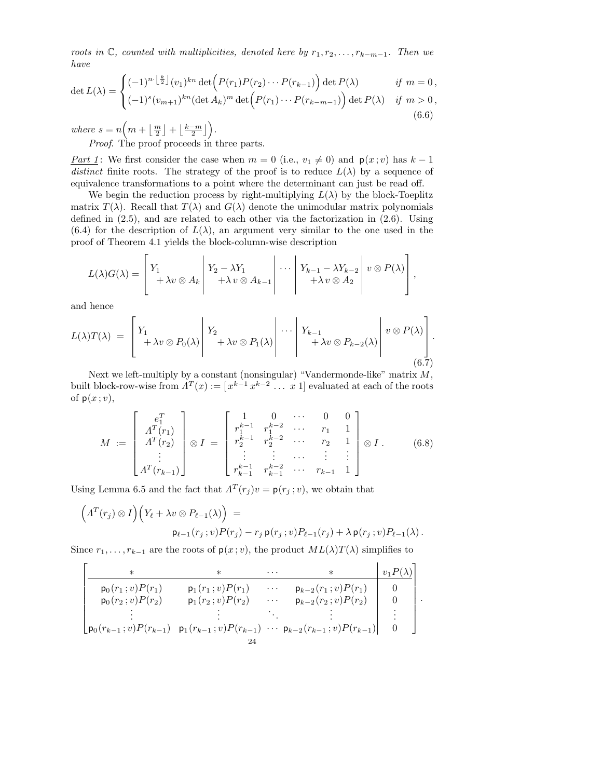roots in  $\mathbb{C}$ , counted with multiplicities, denoted here by  $r_1, r_2, \ldots, r_{k-m-1}$ . Then we have

$$
\det L(\lambda) = \begin{cases}\n(-1)^{n \cdot \left\lfloor \frac{k}{2} \right\rfloor} (v_1)^{kn} \det \Big( P(r_1) P(r_2) \cdots P(r_{k-1}) \Big) \det P(\lambda) & \text{if } m = 0, \\
(-1)^s (v_{m+1})^{kn} (\det A_k)^m \det \Big( P(r_1) \cdots P(r_{k-m-1}) \Big) \det P(\lambda) & \text{if } m > 0, \\
(6.6)\n\end{cases}
$$

where  $s = n \left( m + \left\lfloor \frac{m}{2} \right\rfloor + \left\lfloor \frac{k-m}{2} \right\rfloor \right)$ .

Proof. The proof proceeds in three parts.

Part 1: We first consider the case when  $m = 0$  (i.e.,  $v_1 \neq 0$ ) and  $p(x; v)$  has  $k - 1$ distinct finite roots. The strategy of the proof is to reduce  $L(\lambda)$  by a sequence of equivalence transformations to a point where the determinant can just be read off.

We begin the reduction process by right-multiplying  $L(\lambda)$  by the block-Toeplitz matrix  $T(\lambda)$ . Recall that  $T(\lambda)$  and  $G(\lambda)$  denote the unimodular matrix polynomials defined in (2.5), and are related to each other via the factorization in (2.6). Using  $(6.4)$  for the description of  $L(\lambda)$ , an argument very similar to the one used in the proof of Theorem 4.1 yields the block-column-wise description

$$
L(\lambda)G(\lambda) = \begin{bmatrix} Y_1 & & \\ & +\lambda v \otimes A_k & +\lambda v \otimes A_{k-1} \\ & & +\lambda v \otimes A_{k-1} \end{bmatrix} \cdots \begin{bmatrix} Y_{k-1} - \lambda Y_{k-2} & v \otimes P(\lambda) \\ & +\lambda v \otimes A_2 \end{bmatrix},
$$

and hence

$$
L(\lambda)T(\lambda) = \left[ Y_1 + \lambda v \otimes P_0(\lambda) \middle| Y_2 + \lambda v \otimes P_1(\lambda) \middle| \cdots \middle| Y_{k-1} + \lambda v \otimes P_{k-2}(\lambda) \middle| v \otimes P(\lambda) \right].
$$
\n
$$
(6.7)
$$

Next we left-multiply by a constant (nonsingular) "Vandermonde-like" matrix  $M$ , built block-row-wise from  $A^T(x) := [x^{k-1}, x^{k-2}, \dots, x]$  evaluated at each of the roots of  $p(x; v)$ ,

$$
M := \begin{bmatrix} e_1^T \\ A^T(r_1) \\ A^T(r_2) \\ \vdots \\ A^T(r_{k-1}) \end{bmatrix} \otimes I = \begin{bmatrix} 1 & 0 & \cdots & 0 & 0 \\ r_1^{k-1} & r_1^{k-2} & \cdots & r_1 & 1 \\ r_2^{k-1} & r_2^{k-2} & \cdots & r_2 & 1 \\ \vdots & \vdots & \cdots & \vdots & \vdots \\ r_{k-1}^{k-1} & r_{k-1}^{k-2} & \cdots & r_{k-1} & 1 \end{bmatrix} \otimes I.
$$
 (6.8)

Using Lemma 6.5 and the fact that  $\Lambda^T(r_j)v = \mathsf{p}(r_j; v)$ , we obtain that

$$
\left(\Lambda^T(r_j) \otimes I\right)\left(Y_{\ell} + \lambda v \otimes P_{\ell-1}(\lambda)\right) =
$$
  
 
$$
\mathsf{p}_{\ell-1}(r_j; v)P(r_j) - r_j \mathsf{p}(r_j; v)P_{\ell-1}(r_j) + \lambda \mathsf{p}(r_j; v)P_{\ell-1}(\lambda).
$$

Since  $r_1, \ldots, r_{k-1}$  are the roots of  $p(x; v)$ , the product  $ML(\lambda)T(\lambda)$  simplifies to

$$
\begin{bmatrix}\n\ast & \ast & \cdots & \ast & \vee_{1} P(\lambda) \\
\hline\np_{0}(r_{1}; v)P(r_{1}) & p_{1}(r_{1}; v)P(r_{1}) & \cdots & p_{k-2}(r_{1}; v)P(r_{1}) & 0 \\
p_{0}(r_{2}; v)P(r_{2}) & p_{1}(r_{2}; v)P(r_{2}) & \cdots & p_{k-2}(r_{2}; v)P(r_{2}) & 0 \\
\vdots & \vdots & \ddots & \vdots & \vdots \\
p_{0}(r_{k-1}; v)P(r_{k-1}) & p_{1}(r_{k-1}; v)P(r_{k-1}) & \cdots & p_{k-2}(r_{k-1}; v)P(r_{k-1}) & 0\n\end{bmatrix}
$$

.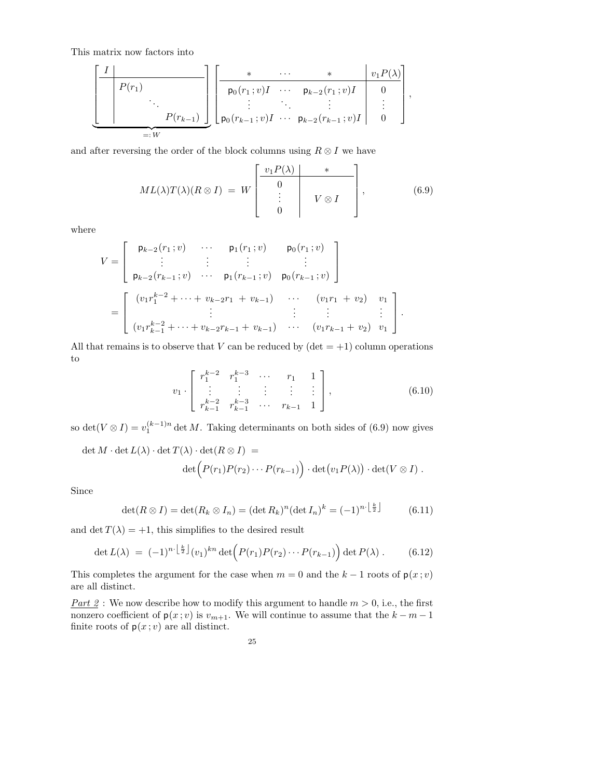This matrix now factors into

$$
\underbrace{\left[\begin{array}{c|c} I & \cdots & * & v_1 P(\lambda) \\ \hline P(r_1) & \ddots & \vdots & \ddots & \vdots \\ \hline P(r_{k-1}) & \cdots & P(r_{k-1}; v)I & \cdots & P_{k-2}(r_1; v)I & 0 \\ \vdots & \ddots & \vdots & \vdots & \vdots \\ \hline P(0; r_{k-1}; v)I & \cdots & P_{k-2}(r_{k-1}; v)I & 0 \end{array}\right],}_{=:W}
$$

and after reversing the order of the block columns using  $R \otimes I$  we have

$$
ML(\lambda)T(\lambda)(R \otimes I) = W \begin{bmatrix} v_1 P(\lambda) & * & \cdots \\ 0 & & \vdots \\ 0 & & V \otimes I \end{bmatrix}, \tag{6.9}
$$

where

$$
V = \begin{bmatrix} p_{k-2}(r_1; v) & \cdots & p_1(r_1; v) & p_0(r_1; v) \\ \vdots & \vdots & \vdots & \vdots \\ p_{k-2}(r_{k-1}; v) & \cdots & p_1(r_{k-1}; v) & p_0(r_{k-1}; v) \end{bmatrix}
$$
  
= 
$$
\begin{bmatrix} (v_1r_1^{k-2} + \cdots + v_{k-2}r_1 + v_{k-1}) & \cdots & (v_1r_1 + v_2) & v_1 \\ \vdots & \vdots & \vdots & \vdots \\ (v_1r_{k-1}^{k-2} + \cdots + v_{k-2}r_{k-1} + v_{k-1}) & \cdots & (v_1r_{k-1} + v_2) & v_1 \end{bmatrix}.
$$

All that remains is to observe that V can be reduced by  $(\det = +1)$  column operations to

$$
v_1 \cdot \begin{bmatrix} r_1^{k-2} & r_1^{k-3} & \cdots & r_1 & 1 \\ \vdots & \vdots & \vdots & \vdots & \vdots \\ r_{k-1}^{k-2} & r_{k-1}^{k-3} & \cdots & r_{k-1} & 1 \end{bmatrix},
$$
 (6.10)

so det( $V \otimes I$ ) =  $v_1^{(k-1)n}$  det M. Taking determinants on both sides of (6.9) now gives

$$
\det M \cdot \det L(\lambda) \cdot \det T(\lambda) \cdot \det(R \otimes I) =
$$
  

$$
\det \Big( P(r_1) P(r_2) \cdots P(r_{k-1}) \Big) \cdot \det \big( v_1 P(\lambda) \big) \cdot \det (V \otimes I) .
$$

Since

$$
\det(R \otimes I) = \det(R_k \otimes I_n) = (\det R_k)^n (\det I_n)^k = (-1)^{n \cdot \left\lfloor \frac{k}{2} \right\rfloor} \tag{6.11}
$$

and det  $T(\lambda) = +1$ , this simplifies to the desired result

$$
\det L(\lambda) = (-1)^{n \cdot \left\lfloor \frac{k}{2} \right\rfloor} (v_1)^{kn} \det \left( P(r_1) P(r_2) \cdots P(r_{k-1}) \right) \det P(\lambda).
$$
 (6.12)

This completes the argument for the case when  $m = 0$  and the  $k - 1$  roots of  $p(x; v)$ are all distinct.

Part 2: We now describe how to modify this argument to handle  $m > 0$ , i.e., the first nonzero coefficient of  $p(x; v)$  is  $v_{m+1}$ . We will continue to assume that the  $k - m - 1$ finite roots of  $p(x; v)$  are all distinct.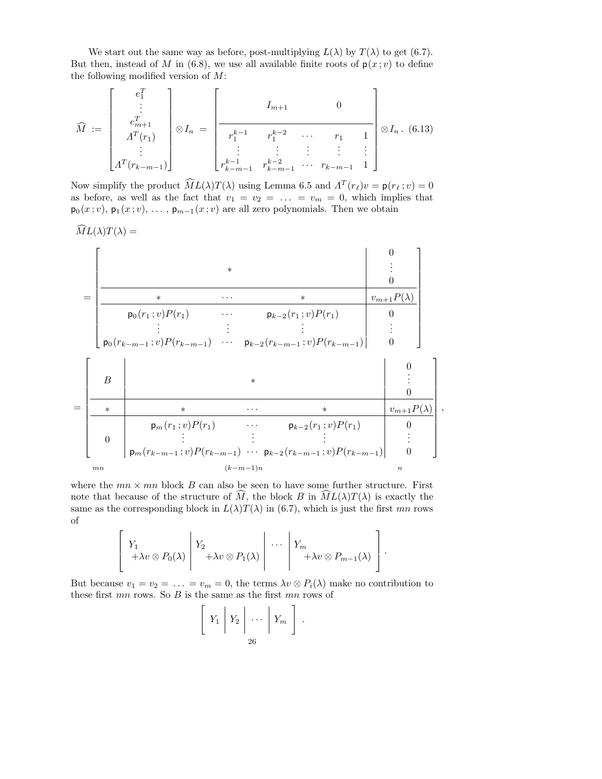We start out the same way as before, post-multiplying  $L(\lambda)$  by  $T(\lambda)$  to get (6.7). But then, instead of M in (6.8), we use all available finite roots of  $p(x; v)$  to define the following modified version of  $M$ :

$$
\widehat{M} := \begin{bmatrix} e_1^T \\ \vdots \\ e_{m+1}^T \\ A^T(r_1) \\ \vdots \\ A^T(r_{k-m-1}) \end{bmatrix} \otimes I_n = \begin{bmatrix} I_{m+1} & 0 \\ \hline r_1^{k-1} & r_1^{k-2} & \cdots & r_1 & 1 \\ \vdots & \vdots & \vdots & \vdots \\ r_{k-m-1}^{k-1} & r_{k-m-1}^{k-2} & \cdots & r_{k-m-1} & 1 \end{bmatrix} \otimes I_n. (6.13)
$$

Now simplify the product  $\widehat{M}L(\lambda)T(\lambda)$  using Lemma 6.5 and  $\Lambda^T(r_\ell)v = \mathsf{p}(r_\ell; v) = 0$ as before, as well as the fact that  $v_1 = v_2 = \ldots = v_m = 0$ , which implies that  $p_0(x; v)$ ,  $p_1(x; v)$ , ...,  $p_{m-1}(x; v)$  are all zero polynomials. Then we obtain

$$
\widehat{M}L(\lambda)T(\lambda) = \n\begin{bmatrix}\n\downarrow & & & & & & & & 0 \\
\hline\n& & & & & & & & \vdots & \vdots & & \\
& & & & & & & & & \vdots & \\
& & & & & & & & & & \vdots & \\
& & & & & & & & & & \vdots & \\
& & & & & & & & & & & \vdots & \\
& & & & & & & & & & & \vdots & \\
& & & & & & & & & & & & \vdots & \\
& & & & & & & & & & & & \vdots & \\
& & & & & & & & & & & & \vdots & \\
& & & & & & & & & & & & & \vdots & \\
& & & & & & & & & & & & & \vdots & \\
& & & & & & & & & & & & & \vdots & \\
& & & & & & & & & & & & & & \vdots & \\
& & & & & & & & & & & & & & \vdots & \\
& & & & & & & & & & & & & & \vdots & \\
& & & & & & & & & & & & & & & \vdots & \\
& & & & & & & & & & & & & & & \vdots & \\
& & & & & & & & & & & & & & & \vdots & \\
& & & & & & & & & & & & & & & \vdots & \\
& & & & & & & & & & & & & & & \vdots & \\
& & & & & & & & & & & & & & & \vdots & \\
& & & & & & & & & & & & & & & \vdots & \\
& & & & & & & & & & & & & & & \vdots & \\
& & & & & & & & & & & & & & & \vdots & \\
& & & & & & & & & & & & & & & \vdots & \\
& & & & & & & & & & & & & & & \vdots & \\
& & & & & & & & & & & & & & & \vdots & \\
& & & & & & & & & & & & & & & \vdots & \\
& & & & & & & & & & & & & & & & \vdots & \\
& & & & & & & & & & & & & & & & \vdots & \\
& & & & & & & & & & & & & & & & \vdots & \\
& & & & & & & & & & & & & & & & \vdots & \\
& & & & & & & & & & & & & & & & \vdots & \\
& & & & & & & & & & & & & & & & \vdots & \\
& & & & & & & & & & & & & & & & \vdots & \\
& & & & & & & & & & & & & & & & \end{bmatrix}
$$

,

where the  $mn \times mn$  block B can also be seen to have some further structure. First note that because of the structure of  $\tilde{M}$ , the block B in  $\tilde{ML}(\lambda)T(\lambda)$  is exactly the same as the corresponding block in  $L(\lambda)T(\lambda)$  in (6.7), which is just the first mn rows of

$$
\left[\begin{array}{c} Y_1 \\ +\lambda v \otimes P_0(\lambda) \end{array} \middle| \begin{array}{c} Y_2 \\ +\lambda v \otimes P_1(\lambda) \end{array} \middle| \begin{array}{c} \cdots \\ \cdots \end{array} \middle| \begin{array}{c} Y_m \\ +\lambda v \otimes P_{m-1}(\lambda) \end{array} \right].
$$

But because  $v_1 = v_2 = \ldots = v_m = 0$ , the terms  $\lambda v \otimes P_i(\lambda)$  make no contribution to these first  $mn$  rows. So  $B$  is the same as the first  $mn$  rows of

 $\sqrt{ }$ 

$$
Y_1 \mid Y_2 \mid \cdots \mid Y_m \mid
$$
  

$$
\begin{bmatrix} 26 \end{bmatrix}
$$

.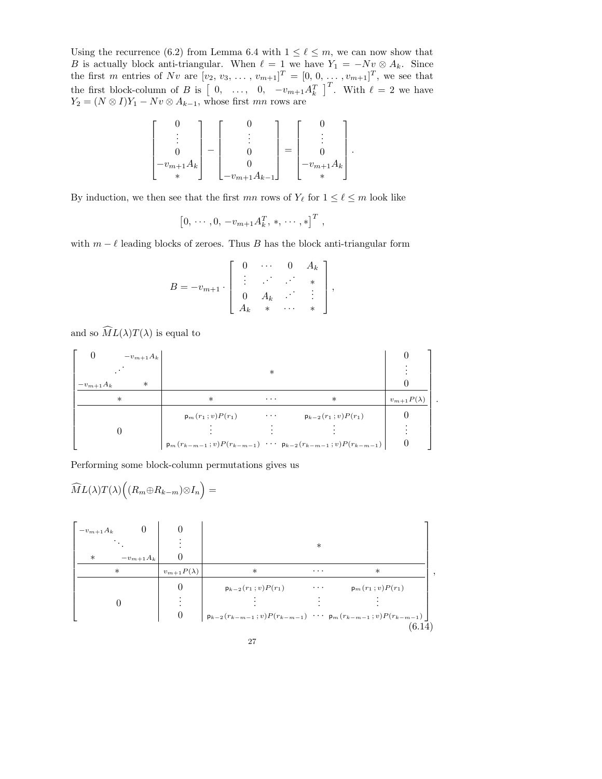Using the recurrence (6.2) from Lemma 6.4 with  $1 \leq \ell \leq m$ , we can now show that B is actually block anti-triangular. When  $\ell = 1$  we have  $Y_1 = -Nv \otimes A_k$ . Since the first m entries of Nv are  $[v_2, v_3, ..., v_{m+1}]^T = [0, 0, ..., v_{m+1}]^T$ , we see that the first block-column of B is  $\begin{bmatrix} 0, & \ldots, & 0, & -v_{m+1}A_k^T \end{bmatrix}^T$ . With  $\ell = 2$  we have  $Y_2 = (N \otimes I)Y_1 - Nv \otimes A_{k-1}$ , whose first mn rows are

$$
\begin{bmatrix} 0 \\ \vdots \\ 0 \\ -v_{m+1}A_k \\ * \end{bmatrix} - \begin{bmatrix} 0 \\ \vdots \\ 0 \\ -v_{m+1}A_{k-1} \end{bmatrix} = \begin{bmatrix} 0 \\ \vdots \\ 0 \\ -v_{m+1}A_k \end{bmatrix}.
$$

By induction, we then see that the first  $mn$  rows of  $Y_{\ell}$  for  $1 \leq \ell \leq m$  look like

$$
[0, \cdots, 0, -v_{m+1} A_k^T, \, \ast, \, \cdots, \ast]^T,
$$

with  $m - \ell$  leading blocks of zeroes. Thus B has the block anti-triangular form

$$
B = -v_{m+1} \cdot \left[ \begin{array}{cccc} 0 & \cdots & 0 & A_k \\ \vdots & \vdots & \ddots & \vdots \\ 0 & A_k & \cdots & \vdots \\ A_k & * & \cdots & * \end{array} \right],
$$

and so  $\widehat{M}L(\lambda)T(\lambda)$  is equal to

 0 <sup>−</sup>vm+1A<sup>k</sup> 0 . . . ∗ . . . <sup>−</sup>vm+1A<sup>k</sup> ∗ 0 ∗ ∗ · · · ∗ <sup>v</sup>m+1<sup>P</sup> (λ) <sup>p</sup>m(r<sup>1</sup> ; <sup>v</sup>)<sup>P</sup> (r1) · · · <sup>p</sup>k−<sup>2</sup> (r<sup>1</sup> ; <sup>v</sup>)<sup>P</sup> (r1) 0 0 . . . . . . . . . . . . <sup>p</sup>m(rk−m−<sup>1</sup> ; <sup>v</sup>)<sup>P</sup> (rk−m−1) · · · <sup>p</sup>k−<sup>2</sup> (rk−m−<sup>1</sup> ; <sup>v</sup>)<sup>P</sup> (rk−m−1) 0 .

Performing some block-column permutations gives us

$$
\widehat{M}L(\lambda)T(\lambda)\Big((R_m\oplus R_{k-m})\otimes I_n\Big) =
$$
\n
$$
\begin{bmatrix}\n-v_{m+1}A_k & 0 & 0 \\
\cdot & \cdot & \cdot \\
\cdot & -v_{m+1}A_k & 0 \\
\hline\n& v_{m+1}P(\lambda) & * & \cdot \\
0 & 0 & p_{k-2}(r_1; v)P(r_1) & \cdot \cdot \cdot & p_m(r_1; v)P(r_1) \\
\vdots & \vdots & \vdots & \vdots \\
0 & p_{k-2}(r_{k-m-1}; v)P(r_{k-m-1}) & \cdot \cdot \cdot & p_m(r_{k-m-1}; v)P(r_{k-m-1})\n\end{bmatrix}
$$
\n
$$
(6.14)
$$

1  $\overline{1}$ 

 ,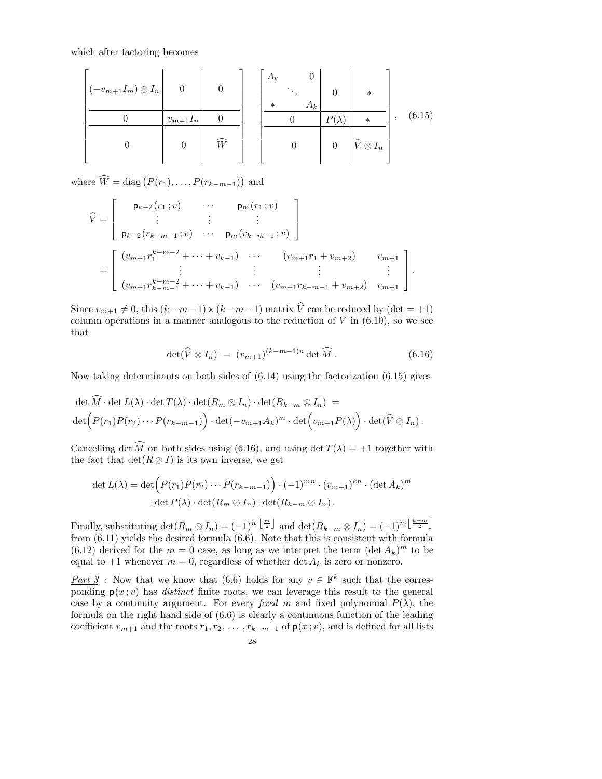which after factoring becomes

$$
\left[\begin{array}{c|c|c}\n-c_{m+1}I_m & \otimes I_n & 0 & 0 \\
\hline\n0 & v_{m+1}I_n & 0 & 0 \\
\hline\n0 & 0 & \widehat{W} & 0\n\end{array}\right] \left[\begin{array}{c|c|c}\nA_k & 0 & 0 & * \\
\hline\n0 & 0 & P(\lambda) & * \\
\hline\n0 & 0 & \widehat{V} \otimes I_n\n\end{array}\right], \quad (6.15)
$$

where  $\widehat{W} = \text{diag}(P(r_1), \ldots, P(r_{k-m-1}))$  and

$$
\widehat{V} = \begin{bmatrix}\n\mathsf{p}_{k-2}(r_1; v) & \cdots & \mathsf{p}_m(r_1; v) \\
\vdots & \vdots & \vdots \\
\mathsf{p}_{k-2}(r_{k-m-1}; v) & \cdots & \mathsf{p}_m(r_{k-m-1}; v)\n\end{bmatrix}
$$
\n
$$
= \begin{bmatrix}\n(v_{m+1}r_1^{k-m-2} + \cdots + v_{k-1}) & \cdots & (v_{m+1}r_1 + v_{m+2}) & v_{m+1} \\
\vdots & \vdots & \vdots & \vdots \\
(v_{m+1}r_{k-m-1}^{k-m-2} + \cdots + v_{k-1}) & \cdots & (v_{m+1}r_{k-m-1} + v_{m+2}) & v_{m+1}\n\end{bmatrix}.
$$

Since  $v_{m+1} \neq 0$ , this  $(k-m-1) \times (k-m-1)$  matrix  $\hat{V}$  can be reduced by (det = +1) column operations in a manner analogous to the reduction of  $V$  in  $(6.10)$ , so we see that

$$
\det(\widehat{V}\otimes I_n) = (v_{m+1})^{(k-m-1)n} \det \widehat{M} . \tag{6.16}
$$

Now taking determinants on both sides of  $(6.14)$  using the factorization  $(6.15)$  gives

$$
\det \widehat{M} \cdot \det L(\lambda) \cdot \det T(\lambda) \cdot \det(R_m \otimes I_n) \cdot \det(R_{k-m} \otimes I_n) =
$$
  

$$
\det \Big( P(r_1) P(r_2) \cdots P(r_{k-m-1}) \Big) \cdot \det(-v_{m+1} A_k)^m \cdot \det \Big( v_{m+1} P(\lambda) \Big) \cdot \det(\widehat{V} \otimes I_n).
$$

Cancelling det  $\widehat{M}$  on both sides using (6.16), and using det  $T(\lambda) = +1$  together with the fact that  $\det(R \otimes I)$  is its own inverse, we get

$$
\det L(\lambda) = \det \Big( P(r_1) P(r_2) \cdots P(r_{k-m-1}) \Big) \cdot (-1)^{mn} \cdot (v_{m+1})^{kn} \cdot (\det A_k)^m
$$

$$
\cdot \det P(\lambda) \cdot \det(R_m \otimes I_n) \cdot \det(R_{k-m} \otimes I_n) \, .
$$

Finally, substituting  $\det(R_m \otimes I_n) = (-1)^{n \cdot \lfloor \frac{m}{2} \rfloor}$  and  $\det(R_{k-m} \otimes I_n) = (-1)^{n \cdot \lfloor \frac{k-m}{2} \rfloor}$ from (6.11) yields the desired formula (6.6). Note that this is consistent with formula (6.12) derived for the  $m = 0$  case, as long as we interpret the term  $(\det A_k)^m$  to be equal to  $+1$  whenever  $m = 0$ , regardless of whether det  $A_k$  is zero or nonzero.

Part 3: Now that we know that (6.6) holds for any  $v \in \mathbb{F}^k$  such that the corresponding  $p(x; v)$  has *distinct* finite roots, we can leverage this result to the general case by a continuity argument. For every fixed m and fixed polynomial  $P(\lambda)$ , the formula on the right hand side of (6.6) is clearly a continuous function of the leading coefficient  $v_{m+1}$  and the roots  $r_1, r_2, \ldots, r_{k-m-1}$  of  $p(x; v)$ , and is defined for all lists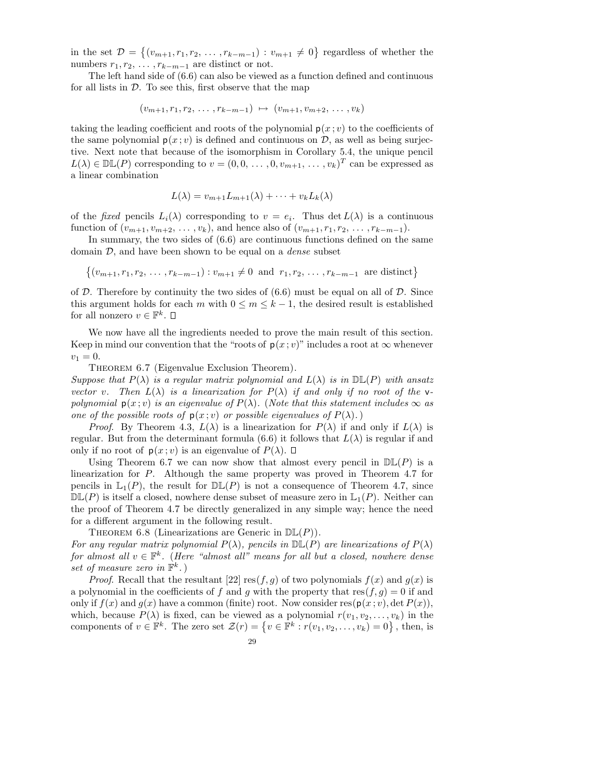in the set  $\mathcal{D} = \{(v_{m+1}, r_1, r_2, \ldots, r_{k-m-1}) : v_{m+1} \neq 0\}$  regardless of whether the numbers  $r_1, r_2, \ldots, r_{k-m-1}$  are distinct or not.

The left hand side of (6.6) can also be viewed as a function defined and continuous for all lists in  $\mathcal{D}$ . To see this, first observe that the map

$$
(v_{m+1}, r_1, r_2, \ldots, r_{k-m-1}) \mapsto (v_{m+1}, v_{m+2}, \ldots, v_k)
$$

taking the leading coefficient and roots of the polynomial  $p(x; v)$  to the coefficients of the same polynomial  $p(x; v)$  is defined and continuous on  $\mathcal{D}$ , as well as being surjective. Next note that because of the isomorphism in Corollary 5.4, the unique pencil  $L(\lambda) \in \mathbb{DL}(P)$  corresponding to  $v = (0, 0, \ldots, 0, v_{m+1}, \ldots, v_k)^T$  can be expressed as a linear combination

$$
L(\lambda) = v_{m+1}L_{m+1}(\lambda) + \cdots + v_kL_k(\lambda)
$$

of the fixed pencils  $L_i(\lambda)$  corresponding to  $v = e_i$ . Thus  $\det L(\lambda)$  is a continuous function of  $(v_{m+1}, v_{m+2}, \ldots, v_k)$ , and hence also of  $(v_{m+1}, r_1, r_2, \ldots, r_{k-m-1})$ .

In summary, the two sides of (6.6) are continuous functions defined on the same domain  $\mathcal{D}$ , and have been shown to be equal on a *dense* subset

$$
\{(v_{m+1}, r_1, r_2, \ldots, r_{k-m-1}) : v_{m+1} \neq 0 \text{ and } r_1, r_2, \ldots, r_{k-m-1} \text{ are distinct}\}
$$

of  $D$ . Therefore by continuity the two sides of  $(6.6)$  must be equal on all of  $D$ . Since this argument holds for each m with  $0 \leq m \leq k-1$ , the desired result is established for all nonzero  $v \in \mathbb{F}^k$ .

We now have all the ingredients needed to prove the main result of this section. Keep in mind our convention that the "roots of  $p(x; v)$ " includes a root at  $\infty$  whenever  $v_1 = 0.$ 

THEOREM 6.7 (Eigenvalue Exclusion Theorem).

Suppose that  $P(\lambda)$  is a regular matrix polynomial and  $L(\lambda)$  is in  $\mathbb{DL}(P)$  with ansatz vector v. Then  $L(\lambda)$  is a linearization for  $P(\lambda)$  if and only if no root of the vpolynomial  $p(x; v)$  is an eigenvalue of  $P(\lambda)$ . (Note that this statement includes  $\infty$  as one of the possible roots of  $p(x; v)$  or possible eigenvalues of  $P(\lambda)$ .)

*Proof.* By Theorem 4.3,  $L(\lambda)$  is a linearization for  $P(\lambda)$  if and only if  $L(\lambda)$  is regular. But from the determinant formula (6.6) it follows that  $L(\lambda)$  is regular if and only if no root of  $p(x; v)$  is an eigenvalue of  $P(\lambda)$ .  $\Box$ 

Using Theorem 6.7 we can now show that almost every pencil in  $\mathbb{DL}(P)$  is a linearization for P. Although the same property was proved in Theorem 4.7 for pencils in  $\mathbb{L}_1(P)$ , the result for  $\mathbb{DL}(P)$  is not a consequence of Theorem 4.7, since  $D\mathbb{L}(P)$  is itself a closed, nowhere dense subset of measure zero in  $\mathbb{L}_1(P)$ . Neither can the proof of Theorem 4.7 be directly generalized in any simple way; hence the need for a different argument in the following result.

THEOREM 6.8 (Linearizations are Generic in  $D\mathbb{L}(P)$ ).

For any regular matrix polynomial  $P(\lambda)$ , pencils in  $\mathbb{DL}(P)$  are linearizations of  $P(\lambda)$ for almost all  $v \in \mathbb{F}^k$ . (Here "almost all" means for all but a closed, nowhere dense set of measure zero in  $\mathbb{F}^k$ .)

*Proof.* Recall that the resultant [22] res $(f, g)$  of two polynomials  $f(x)$  and  $g(x)$  is a polynomial in the coefficients of f and g with the property that  $res(f, q) = 0$  if and only if  $f(x)$  and  $g(x)$  have a common (finite) root. Now consider res( $p(x; v)$ , det  $P(x)$ ), which, because  $P(\lambda)$  is fixed, can be viewed as a polynomial  $r(v_1, v_2, \ldots, v_k)$  in the components of  $v \in \mathbb{F}^k$ . The zero set  $\mathcal{Z}(r) = \{v \in \mathbb{F}^k : r(v_1, v_2, \ldots, v_k) = 0\}$ , then, is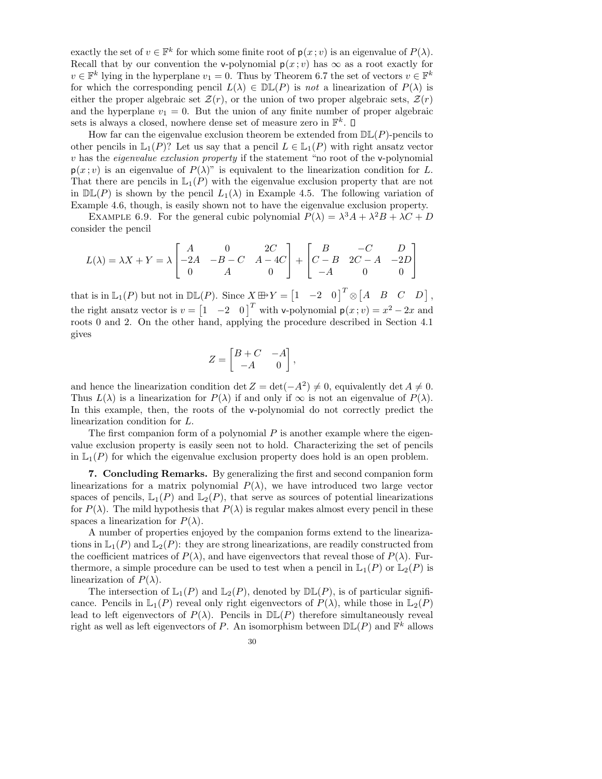exactly the set of  $v \in \mathbb{F}^k$  for which some finite root of  $p(x; v)$  is an eigenvalue of  $P(\lambda)$ . Recall that by our convention the v-polynomial  $p(x; v)$  has  $\infty$  as a root exactly for  $v \in \mathbb{F}^k$  lying in the hyperplane  $v_1 = 0$ . Thus by Theorem 6.7 the set of vectors  $v \in \mathbb{F}^k$ for which the corresponding pencil  $L(\lambda) \in \mathbb{DL}(P)$  is not a linearization of  $P(\lambda)$  is either the proper algebraic set  $\mathcal{Z}(r)$ , or the union of two proper algebraic sets,  $\mathcal{Z}(r)$ and the hyperplane  $v_1 = 0$ . But the union of any finite number of proper algebraic sets is always a closed, nowhere dense set of measure zero in  $\mathbb{F}^k$ .

How far can the eigenvalue exclusion theorem be extended from  $D\mathbb{L}(P)$ -pencils to other pencils in  $\mathbb{L}_1(P)$ ? Let us say that a pencil  $L \in \mathbb{L}_1(P)$  with right ansatz vector v has the eigenvalue exclusion property if the statement "no root of the v-polynomial  $p(x; v)$  is an eigenvalue of  $P(\lambda)$ " is equivalent to the linearization condition for L. That there are pencils in  $\mathbb{L}_1(P)$  with the eigenvalue exclusion property that are not in  $\mathbb{DL}(P)$  is shown by the pencil  $L_1(\lambda)$  in Example 4.5. The following variation of Example 4.6, though, is easily shown not to have the eigenvalue exclusion property.

EXAMPLE 6.9. For the general cubic polynomial  $P(\lambda) = \lambda^3 A + \lambda^2 B + \lambda C + D$ consider the pencil

$$
L(\lambda) = \lambda X + Y = \lambda \begin{bmatrix} A & 0 & 2C \\ -2A & -B - C & A - 4C \\ 0 & A & 0 \end{bmatrix} + \begin{bmatrix} B & -C & D \\ C - B & 2C - A & -2D \\ -A & 0 & 0 \end{bmatrix}
$$

that is in  $\mathbb{L}_1(P)$  but not in  $\mathbb{DL}(P)$ . Since  $X \boxplus Y = \begin{bmatrix} 1 & -2 & 0 \end{bmatrix}^T \otimes \begin{bmatrix} A & B & C & D \end{bmatrix}$ , the right ansatz vector is  $v = \begin{bmatrix} 1 & -2 & 0 \end{bmatrix}^T$  with v-polynomial  $p(x; v) = x^2 - 2x$  and roots 0 and 2. On the other hand, applying the procedure described in Section 4.1 gives

$$
Z = \begin{bmatrix} B+C & -A \\ -A & 0 \end{bmatrix},
$$

and hence the linearization condition det  $Z = det(-A^2) \neq 0$ , equivalently det  $A \neq 0$ . Thus  $L(\lambda)$  is a linearization for  $P(\lambda)$  if and only if  $\infty$  is not an eigenvalue of  $P(\lambda)$ . In this example, then, the roots of the v-polynomial do not correctly predict the linearization condition for L.

The first companion form of a polynomial  $P$  is another example where the eigenvalue exclusion property is easily seen not to hold. Characterizing the set of pencils in  $\mathbb{L}_1(P)$  for which the eigenvalue exclusion property does hold is an open problem.

7. Concluding Remarks. By generalizing the first and second companion form linearizations for a matrix polynomial  $P(\lambda)$ , we have introduced two large vector spaces of pencils,  $\mathbb{L}_1(P)$  and  $\mathbb{L}_2(P)$ , that serve as sources of potential linearizations for  $P(\lambda)$ . The mild hypothesis that  $P(\lambda)$  is regular makes almost every pencil in these spaces a linearization for  $P(\lambda)$ .

A number of properties enjoyed by the companion forms extend to the linearizations in  $\mathbb{L}_1(P)$  and  $\mathbb{L}_2(P)$ : they are strong linearizations, are readily constructed from the coefficient matrices of  $P(\lambda)$ , and have eigenvectors that reveal those of  $P(\lambda)$ . Furthermore, a simple procedure can be used to test when a pencil in  $\mathbb{L}_1(P)$  or  $\mathbb{L}_2(P)$  is linearization of  $P(\lambda)$ .

The intersection of  $\mathbb{L}_1(P)$  and  $\mathbb{L}_2(P)$ , denoted by  $\mathbb{DL}(P)$ , is of particular significance. Pencils in  $\mathbb{L}_1(P)$  reveal only right eigenvectors of  $P(\lambda)$ , while those in  $\mathbb{L}_2(P)$ lead to left eigenvectors of  $P(\lambda)$ . Pencils in  $D\mathbb{L}(P)$  therefore simultaneously reveal right as well as left eigenvectors of P. An isomorphism between  $D\mathbb{L}(P)$  and  $\mathbb{F}^k$  allows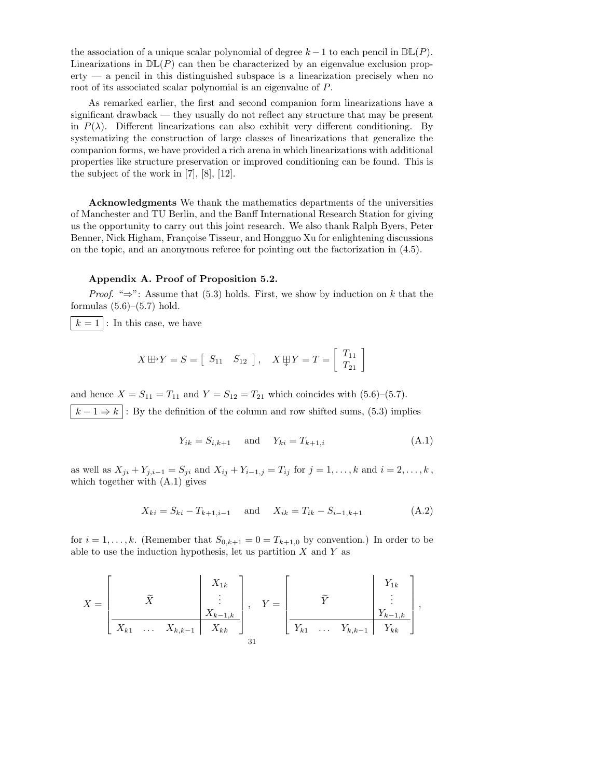the association of a unique scalar polynomial of degree  $k-1$  to each pencil in  $\mathbb{DL}(P)$ . Linearizations in  $D\mathbb{L}(P)$  can then be characterized by an eigenvalue exclusion prop- $\text{erty}$  — a pencil in this distinguished subspace is a linearization precisely when no root of its associated scalar polynomial is an eigenvalue of P.

As remarked earlier, the first and second companion form linearizations have a significant drawback — they usually do not reflect any structure that may be present in  $P(\lambda)$ . Different linearizations can also exhibit very different conditioning. By systematizing the construction of large classes of linearizations that generalize the companion forms, we have provided a rich arena in which linearizations with additional properties like structure preservation or improved conditioning can be found. This is the subject of the work in [7], [8], [12].

Acknowledgments We thank the mathematics departments of the universities of Manchester and TU Berlin, and the Banff International Research Station for giving us the opportunity to carry out this joint research. We also thank Ralph Byers, Peter Benner, Nick Higham, Françoise Tisseur, and Hongguo Xu for enlightening discussions on the topic, and an anonymous referee for pointing out the factorization in (4.5).

## Appendix A. Proof of Proposition 5.2.

*Proof.* " $\Rightarrow$ ": Assume that (5.3) holds. First, we show by induction on k that the formulas  $(5.6)$ – $(5.7)$  hold.

 $k = 1$ : In this case, we have

$$
X \boxplus Y = S = \left[ \begin{array}{cc} S_{11} & S_{12} \end{array} \right], \quad X \boxplus Y = T = \left[ \begin{array}{c} T_{11} \\ T_{21} \end{array} \right]
$$

and hence  $X = S_{11} = T_{11}$  and  $Y = S_{12} = T_{21}$  which coincides with  $(5.6)$ – $(5.7)$ .  $k-1 \Rightarrow k$ : By the definition of the column and row shifted sums, (5.3) implies

$$
Y_{ik} = S_{i,k+1} \quad \text{and} \quad Y_{ki} = T_{k+1,i} \tag{A.1}
$$

as well as  $X_{ji} + Y_{j,i-1} = S_{ji}$  and  $X_{ij} + Y_{i-1,j} = T_{ij}$  for  $j = 1, ..., k$  and  $i = 2, ..., k$ , which together with (A.1) gives

$$
X_{ki} = S_{ki} - T_{k+1,i-1} \quad \text{and} \quad X_{ik} = T_{ik} - S_{i-1,k+1} \tag{A.2}
$$

for  $i = 1, ..., k$ . (Remember that  $S_{0,k+1} = 0 = T_{k+1,0}$  by convention.) In order to be able to use the induction hypothesis, let us partition  $X$  and  $Y$  as

$$
X = \begin{bmatrix} \tilde{X} & & X_{1k} \\ & \tilde{X} & & \vdots \\ \hline X_{k1} & \cdots & X_{k,k-1} & X_{kk} \end{bmatrix}, Y = \begin{bmatrix} \tilde{Y} & & Y_{1k} \\ & \tilde{Y} & & \vdots \\ \hline Y_{k1} & \cdots & Y_{k,k-1} & Y_{kk} \end{bmatrix},
$$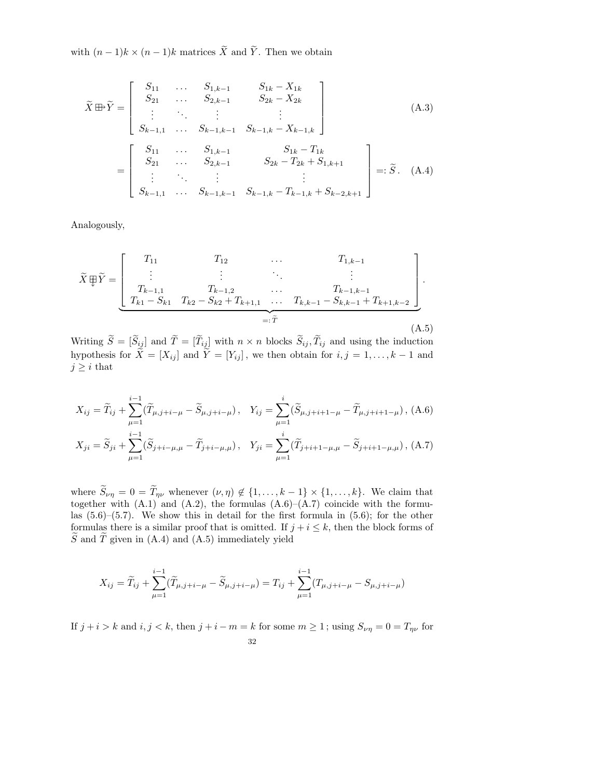with  $(n-1)k \times (n-1)k$  matrices  $\widetilde{X}$  and  $\widetilde{Y}$ . Then we obtain

$$
\widetilde{X} \boxplus \widetilde{Y} = \begin{bmatrix}\nS_{11} & \dots & S_{1,k-1} & S_{1k} - X_{1k} \\
S_{21} & \dots & S_{2,k-1} & S_{2k} - X_{2k} \\
\vdots & \ddots & \vdots & \vdots \\
S_{k-1,1} & \dots & S_{k-1,k-1} & S_{k-1,k} - X_{k-1,k}\n\end{bmatrix}
$$
\n(A.3)  
\n
$$
= \begin{bmatrix}\nS_{11} & \dots & S_{1,k-1} & S_{1k} - T_{1k} \\
S_{21} & \dots & S_{2,k-1} & S_{2k} - T_{2k} + S_{1,k+1} \\
\vdots & \ddots & \vdots & \vdots \\
S_{k-1,1} & \dots & S_{k-1,k-1} & S_{k-1,k} - T_{k-1,k} + S_{k-2,k+1}\n\end{bmatrix} =: \widetilde{S}. (A.4)
$$

Analogously,

$$
\widetilde{X} \boxplus \widetilde{Y} = \begin{bmatrix}\nT_{11} & T_{12} & \cdots & T_{1,k-1} \\
\vdots & \vdots & \ddots & \vdots \\
T_{k-1,1} & T_{k-1,2} & \cdots & T_{k-1,k-1} \\
T_{k1} - S_{k1} & T_{k2} - S_{k2} + T_{k+1,1} & \cdots & T_{k,k-1} - S_{k,k-1} + T_{k+1,k-2}\n\end{bmatrix}.
$$
\n
$$
=:\widetilde{T}
$$
\n(A.5)

Writing  $\widetilde{S} = [\widetilde{S}_{ij}]$  and  $\widetilde{T} = [\widetilde{T}_{ij}]$  with  $n \times n$  blocks  $\widetilde{S}_{ij}, \widetilde{T}_{ij}$  and using the induction hypothesis for  $\tilde{X} = [X_{ij}]$  and  $\tilde{Y} = [Y_{ij}]$ , we then obtain for  $i, j = 1, ..., k - 1$  and  $j \geq i$  that

$$
X_{ij} = \widetilde{T}_{ij} + \sum_{\mu=1}^{i-1} (\widetilde{T}_{\mu,j+i-\mu} - \widetilde{S}_{\mu,j+i-\mu}), \quad Y_{ij} = \sum_{\mu=1}^{i} (\widetilde{S}_{\mu,j+i+1-\mu} - \widetilde{T}_{\mu,j+i+1-\mu}), \quad \text{(A.6)}
$$

$$
X_{ji} = \widetilde{S}_{ji} + \sum_{\mu=1}^{i-1} (\widetilde{S}_{j+i-\mu,\mu} - \widetilde{T}_{j+i-\mu,\mu}), \quad Y_{ji} = \sum_{\mu=1}^{i} (\widetilde{T}_{j+i+1-\mu,\mu} - \widetilde{S}_{j+i+1-\mu,\mu}), \quad \text{(A.7)}
$$

where  $\widetilde{S}_{\nu\eta} = 0 = \widetilde{T}_{\eta\nu}$  whenever  $(\nu, \eta) \notin \{1, \ldots, k-1\} \times \{1, \ldots, k\}$ . We claim that together with  $(A.1)$  and  $(A.2)$ , the formulas  $(A.6)$ – $(A.7)$  coincide with the formulas  $(5.6)$ – $(5.7)$ . We show this in detail for the first formula in  $(5.6)$ ; for the other formulas there is a similar proof that is omitted. If  $j + i \leq k$ , then the block forms of  $\widetilde{S}$  and  $\widetilde{T}$  given in (A.4) and (A.5) immediately yield

$$
X_{ij} = \widetilde{T}_{ij} + \sum_{\mu=1}^{i-1} (\widetilde{T}_{\mu,j+i-\mu} - \widetilde{S}_{\mu,j+i-\mu}) = T_{ij} + \sum_{\mu=1}^{i-1} (T_{\mu,j+i-\mu} - S_{\mu,j+i-\mu})
$$

If  $j + i > k$  and  $i, j < k$ , then  $j + i - m = k$  for some  $m \ge 1$ ; using  $S_{\nu\eta} = 0 = T_{\eta\nu}$  for 32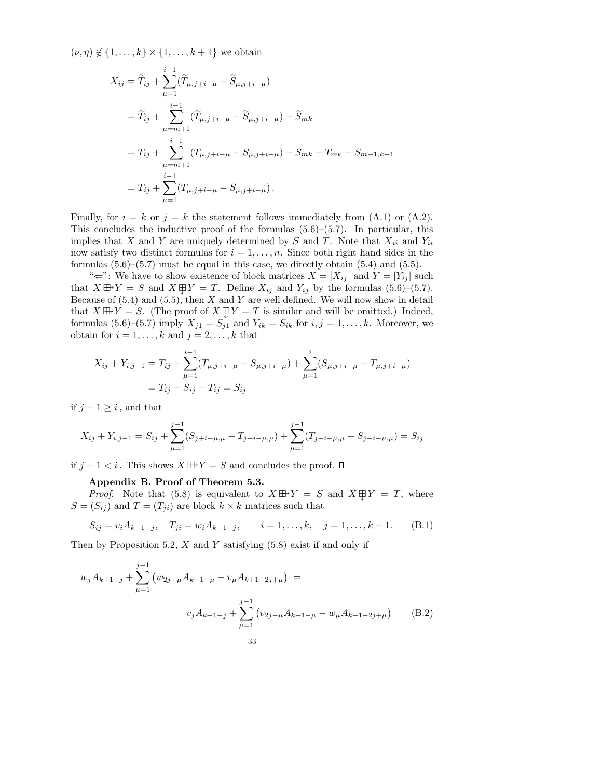$(\nu, \eta) \notin \{1, ..., k\} \times \{1, ..., k+1\}$  we obtain

$$
X_{ij} = \widetilde{T}_{ij} + \sum_{\mu=1}^{i-1} (\widetilde{T}_{\mu,j+i-\mu} - \widetilde{S}_{\mu,j+i-\mu})
$$
  
\n
$$
= \widetilde{T}_{ij} + \sum_{\mu=m+1}^{i-1} (\widetilde{T}_{\mu,j+i-\mu} - \widetilde{S}_{\mu,j+i-\mu}) - \widetilde{S}_{mk}
$$
  
\n
$$
= T_{ij} + \sum_{\mu=m+1}^{i-1} (T_{\mu,j+i-\mu} - S_{\mu,j+i-\mu}) - S_{mk} + T_{mk} - S_{m-1,k+1}
$$
  
\n
$$
= T_{ij} + \sum_{\mu=1}^{i-1} (T_{\mu,j+i-\mu} - S_{\mu,j+i-\mu}).
$$

Finally, for  $i = k$  or  $j = k$  the statement follows immediately from  $(A.1)$  or  $(A.2)$ . This concludes the inductive proof of the formulas  $(5.6)$ – $(5.7)$ . In particular, this implies that X and Y are uniquely determined by S and T. Note that  $X_{ii}$  and  $Y_{ii}$ now satisfy two distinct formulas for  $i = 1, \ldots, n$ . Since both right hand sides in the formulas  $(5.6)$ – $(5.7)$  must be equal in this case, we directly obtain  $(5.4)$  and  $(5.5)$ .

" $\Leftarrow$ ": We have to show existence of block matrices  $X = [X_{ij}]$  and  $Y = [Y_{ij}]$  such that  $X \boxplus Y = S$  and  $X \boxplus Y = T$ . Define  $X_{ij}$  and  $Y_{ij}$  by the formulas (5.6)–(5.7). Because of  $(5.4)$  and  $(5.5)$ , then X and Y are well defined. We will now show in detail that  $X \boxplus Y = S$ . (The proof of  $X \boxplus Y = T$  is similar and will be omitted.) Indeed, formulas  $(5.6)$ – $(5.7)$  imply  $X_{j1} = S_{j1}$  and  $Y_{ik} = S_{ik}$  for  $i, j = 1, \ldots, k$ . Moreover, we obtain for  $i = 1, \ldots, k$  and  $j = 2, \ldots, k$  that

$$
X_{ij} + Y_{i,j-1} = T_{ij} + \sum_{\mu=1}^{i-1} (T_{\mu,j+i-\mu} - S_{\mu,j+i-\mu}) + \sum_{\mu=1}^{i} (S_{\mu,j+i-\mu} - T_{\mu,j+i-\mu})
$$
  
=  $T_{ij} + S_{ij} - T_{ij} = S_{ij}$ 

if  $j - 1 \geq i$ , and that

$$
X_{ij} + Y_{i,j-1} = S_{ij} + \sum_{\mu=1}^{j-1} (S_{j+i-\mu,\mu} - T_{j+i-\mu,\mu}) + \sum_{\mu=1}^{j-1} (T_{j+i-\mu,\mu} - S_{j+i-\mu,\mu}) = S_{ij}
$$

if  $j - 1 < i$ . This shows  $X \oplus Y = S$  and concludes the proof.  $□$ 

#### Appendix B. Proof of Theorem 5.3.

*Proof.* Note that (5.8) is equivalent to  $X \oplus Y = S$  and  $X \oplus Y = T$ , where  $S = (S_{ij})$  and  $T = (T_{ji})$  are block  $k \times k$  matrices such that

$$
S_{ij} = v_i A_{k+1-j}, \quad T_{ji} = w_i A_{k+1-j}, \qquad i = 1, ..., k, \quad j = 1, ..., k+1.
$$
 (B.1)

Then by Proposition 5.2,  $X$  and  $Y$  satisfying (5.8) exist if and only if

$$
w_j A_{k+1-j} + \sum_{\mu=1}^{j-1} (w_{2j-\mu} A_{k+1-\mu} - v_{\mu} A_{k+1-2j+\mu}) =
$$
  

$$
v_j A_{k+1-j} + \sum_{\mu=1}^{j-1} (v_{2j-\mu} A_{k+1-\mu} - w_{\mu} A_{k+1-2j+\mu})
$$
 (B.2)  
33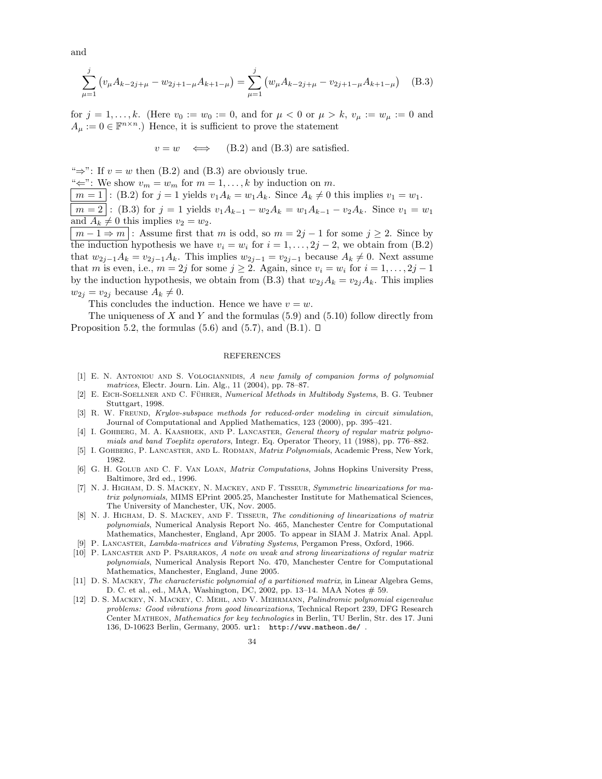and

$$
\sum_{\mu=1}^{j} \left( v_{\mu} A_{k-2j+\mu} - w_{2j+1-\mu} A_{k+1-\mu} \right) = \sum_{\mu=1}^{j} \left( w_{\mu} A_{k-2j+\mu} - v_{2j+1-\mu} A_{k+1-\mu} \right) \quad (B.3)
$$

for  $j = 1, ..., k$ . (Here  $v_0 := w_0 := 0$ , and for  $\mu < 0$  or  $\mu > k$ ,  $v_\mu := w_\mu := 0$  and  $A_{\mu} := 0 \in \mathbb{F}^{n \times n}$ .) Hence, it is sufficient to prove the statement

 $v = w \iff$  (B.2) and (B.3) are satisfied.

" $\Rightarrow$ ": If  $v = w$  then (B.2) and (B.3) are obviously true.

" $\Leftarrow$ ": We show  $v_m = w_m$  for  $m = 1, \ldots, k$  by induction on m.

 $m = 1$ : (B.2) for  $j = 1$  yields  $v_1 A_k = w_1 A_k$ . Since  $A_k \neq 0$  this implies  $v_1 = w_1$ .

 $m = 2$ : (B.3) for  $j = 1$  yields  $v_1A_{k-1} - w_2A_k = w_1A_{k-1} - v_2A_k$ . Since  $v_1 = w_1$ and  $A_k \neq 0$  this implies  $v_2 = w_2$ .

 $m-1 \Rightarrow m$ : Assume first that m is odd, so  $m=2j-1$  for some  $j \geq 2$ . Since by the induction hypothesis we have  $v_i = w_i$  for  $i = 1, \ldots, 2j - 2$ , we obtain from (B.2) that  $w_{2j-1}A_k = v_{2j-1}A_k$ . This implies  $w_{2j-1} = v_{2j-1}$  because  $A_k \neq 0$ . Next assume that m is even, i.e.,  $m = 2j$  for some  $j \ge 2$ . Again, since  $v_i = w_i$  for  $i = 1, \ldots, 2j - 1$ by the induction hypothesis, we obtain from (B.3) that  $w_{2j}A_k = v_{2j}A_k$ . This implies  $w_{2j} = v_{2j}$  because  $A_k \neq 0$ .

This concludes the induction. Hence we have  $v = w$ .

The uniqueness of X and Y and the formulas  $(5.9)$  and  $(5.10)$  follow directly from Proposition 5.2, the formulas (5.6) and (5.7), and (B.1).  $\Box$ 

#### REFERENCES

- [1] E. N. ANTONIOU AND S. VOLOGIANNIDIS, A new family of companion forms of polynomial matrices, Electr. Journ. Lin. Alg., 11 (2004), pp. 78–87.
- [2] E. EICH-SOELLNER AND C. FÜHRER, Numerical Methods in Multibody Systems, B. G. Teubner Stuttgart, 1998.
- [3] R. W. FREUND, *Krylov-subspace methods for reduced-order modeling in circuit simulation*, Journal of Computational and Applied Mathematics, 123 (2000), pp. 395–421.
- [4] I. GOHBERG, M. A. KAASHOEK, AND P. LANCASTER, General theory of regular matrix polynomials and band Toeplitz operators, Integr. Eq. Operator Theory, 11 (1988), pp. 776–882.
- [5] I. Gohberg, P. Lancaster, and L. Rodman, Matrix Polynomials, Academic Press, New York, 1982.
- [6] G. H. Golub and C. F. Van Loan, Matrix Computations, Johns Hopkins University Press, Baltimore, 3rd ed., 1996.
- [7] N. J. Higham, D. S. Mackey, N. Mackey, and F. Tisseur, Symmetric linearizations for matrix polynomials, MIMS EPrint 2005.25, Manchester Institute for Mathematical Sciences, The University of Manchester, UK, Nov. 2005.
- [8] N. J. Higham, D. S. Mackey, and F. Tisseur, The conditioning of linearizations of matrix polynomials, Numerical Analysis Report No. 465, Manchester Centre for Computational Mathematics, Manchester, England, Apr 2005. To appear in SIAM J. Matrix Anal. Appl.
- [9] P. Lancaster, Lambda-matrices and Vibrating Systems, Pergamon Press, Oxford, 1966.
- [10] P. Lancaster and P. Psarrakos, A note on weak and strong linearizations of regular matrix polynomials, Numerical Analysis Report No. 470, Manchester Centre for Computational Mathematics, Manchester, England, June 2005.
- [11] D. S. Mackey, The characteristic polynomial of a partitioned matrix, in Linear Algebra Gems, D. C. et al., ed., MAA, Washington, DC, 2002, pp. 13-14. MAA Notes # 59.
- [12] D. S. Mackey, N. Mackey, C. Mehl, and V. Mehrmann, Palindromic polynomial eigenvalue problems: Good vibrations from good linearizations, Technical Report 239, DFG Research Center Matheon, Mathematics for key technologies in Berlin, TU Berlin, Str. des 17. Juni 136, D-10623 Berlin, Germany, 2005. url: http://www.matheon.de/ .